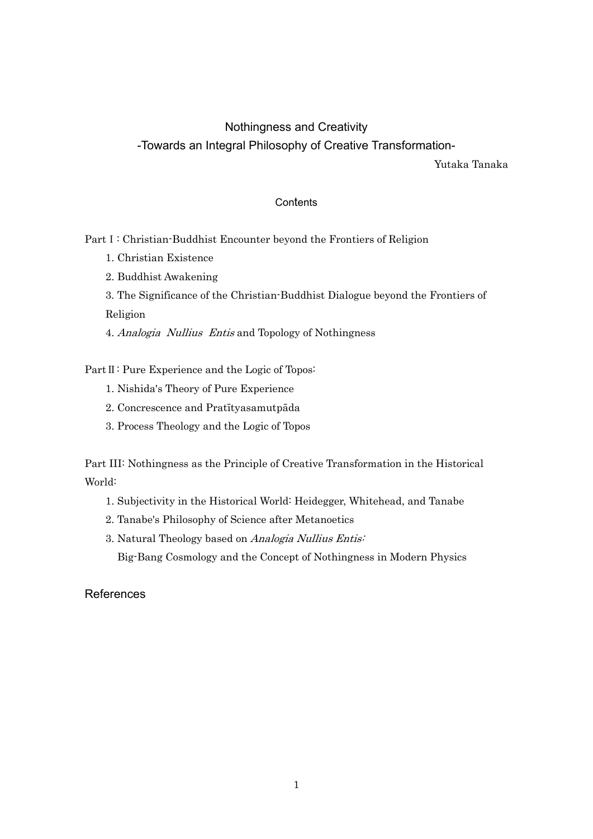# Nothingness and Creativity -Towards an Integral Philosophy of Creative Transformation-

Yutaka Tanaka

## **Contents**

Part I: Christian-Buddhist Encounter beyond the Frontiers of Religion

- 1. Christian Existence
- 2. Buddhist Awakening
- 3. The Significance of the Christian-Buddhist Dialogue beyond the Frontiers of Religion

4. Analogia Nullius Entis and Topology of Nothingness

Part II: Pure Experience and the Logic of Topos:

- 1. Nishida's Theory of Pure Experience
- 2. Concrescence and Pratītyasamutpāda
- 3. Process Theology and the Logic of Topos

Part III: Nothingness as the Principle of Creative Transformation in the Historical World:

- 1. Subjectivity in the Historical World: Heidegger, Whitehead, and Tanabe
- 2. Tanabe's Philosophy of Science after Metanoetics
- 3. Natural Theology based on Analogia Nullius Entis:

Big-Bang Cosmology and the Concept of Nothingness in Modern Physics

**References**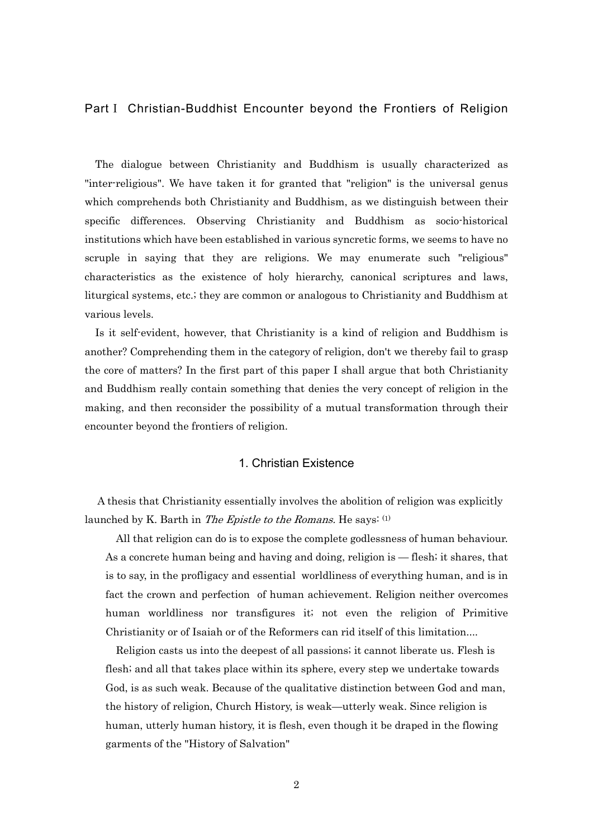#### PartⅠ Christian-Buddhist Encounter beyond the Frontiers of Religion

The dialogue between Christianity and Buddhism is usually characterized as "inter-religious". We have taken it for granted that "religion" is the universal genus which comprehends both Christianity and Buddhism, as we distinguish between their specific differences. Observing Christianity and Buddhism as socio-historical institutions which have been established in various syncretic forms, we seems to have no scruple in saying that they are religions. We may enumerate such "religious" characteristics as the existence of holy hierarchy, canonical scriptures and laws, liturgical systems, etc.; they are common or analogous to Christianity and Buddhism at various levels.

Is it self-evident, however, that Christianity is a kind of religion and Buddhism is another? Comprehending them in the category of religion, don't we thereby fail to grasp the core of matters? In the first part of this paper I shall argue that both Christianity and Buddhism really contain something that denies the very concept of religion in the making, and then reconsider the possibility of a mutual transformation through their encounter beyond the frontiers of religion.

### 1. Christian Existence

 A thesis that Christianity essentially involves the abolition of religion was explicitly launched by K. Barth in The Epistle to the Romans. He says:  $(1)$ 

All that religion can do is to expose the complete godlessness of human behaviour. As a concrete human being and having and doing, religion is — flesh; it shares, that is to say, in the profligacy and essential worldliness of everything human, and is in fact the crown and perfection of human achievement. Religion neither overcomes human worldliness nor transfigures it; not even the religion of Primitive Christianity or of Isaiah or of the Reformers can rid itself of this limitation....

Religion casts us into the deepest of all passions; it cannot liberate us. Flesh is flesh; and all that takes place within its sphere, every step we undertake towards God, is as such weak. Because of the qualitative distinction between God and man, the history of religion, Church History, is weak—utterly weak. Since religion is human, utterly human history, it is flesh, even though it be draped in the flowing garments of the "History of Salvation"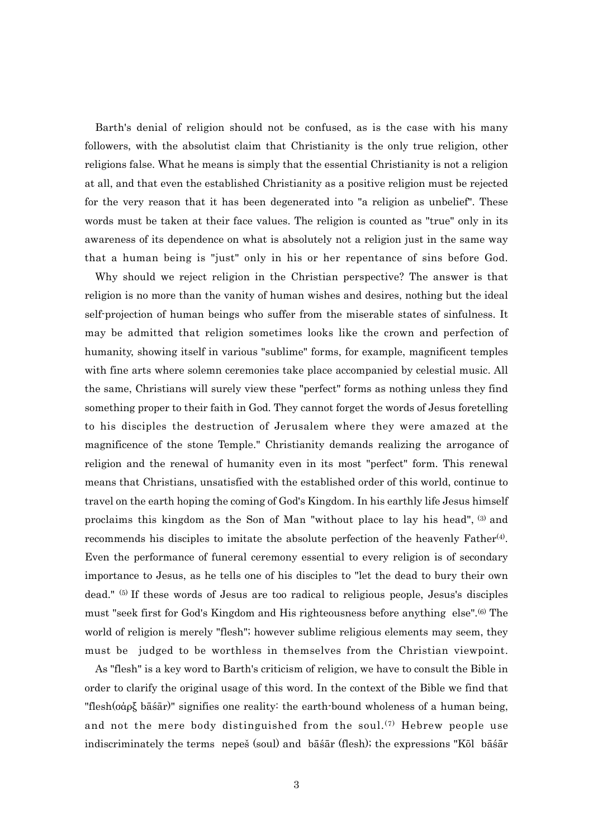Barth's denial of religion should not be confused, as is the case with his many followers, with the absolutist claim that Christianity is the only true religion, other religions false. What he means is simply that the essential Christianity is not a religion at all, and that even the established Christianity as a positive religion must be rejected for the very reason that it has been degenerated into "a religion as unbelief". These words must be taken at their face values. The religion is counted as "true" only in its awareness of its dependence on what is absolutely not a religion just in the same way that a human being is "just" only in his or her repentance of sins before God.

Why should we reject religion in the Christian perspective? The answer is that religion is no more than the vanity of human wishes and desires, nothing but the ideal self-projection of human beings who suffer from the miserable states of sinfulness. It may be admitted that religion sometimes looks like the crown and perfection of humanity, showing itself in various "sublime" forms, for example, magnificent temples with fine arts where solemn ceremonies take place accompanied by celestial music. All the same, Christians will surely view these "perfect" forms as nothing unless they find something proper to their faith in God. They cannot forget the words of Jesus foretelling to his disciples the destruction of Jerusalem where they were amazed at the magnificence of the stone Temple." Christianity demands realizing the arrogance of religion and the renewal of humanity even in its most "perfect" form. This renewal means that Christians, unsatisfied with the established order of this world, continue to travel on the earth hoping the coming of God's Kingdom. In his earthly life Jesus himself proclaims this kingdom as the Son of Man "without place to lay his head", (3) and recommends his disciples to imitate the absolute perfection of the heavenly Father<sup>(4)</sup>. Even the performance of funeral ceremony essential to every religion is of secondary importance to Jesus, as he tells one of his disciples to "let the dead to bury their own dead." (5) If these words of Jesus are too radical to religious people, Jesus's disciples must "seek first for God's Kingdom and His righteousness before anything else".(6) The world of religion is merely "flesh"; however sublime religious elements may seem, they must be judged to be worthless in themselves from the Christian viewpoint.

As "flesh" is a key word to Barth's criticism of religion, we have to consult the Bible in order to clarify the original usage of this word. In the context of the Bible we find that "flesh(σάρξ bāśār)" signifies one reality: the earth-bound wholeness of a human being, and not the mere body distinguished from the soul.<sup>(7)</sup> Hebrew people use indiscriminately the terms nepeš (soul) and bāśār (flesh); the expressions "Kōl bāśār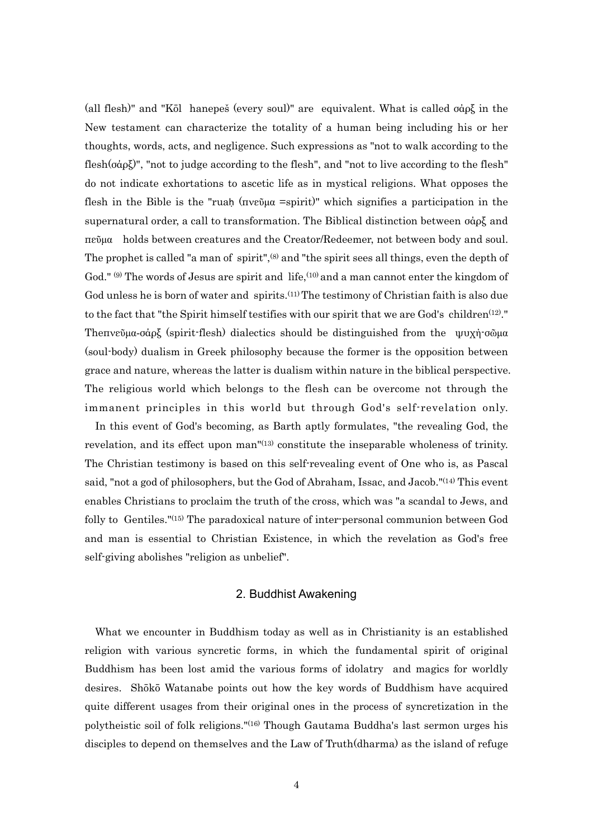(all flesh)" and "Kōl hanepeš (every soul)" are equivalent. What is called σάρξ in the New testament can characterize the totality of a human being including his or her thoughts, words, acts, and negligence. Such expressions as "not to walk according to the flesh(σάρξ)", "not to judge according to the flesh", and "not to live according to the flesh" do not indicate exhortations to ascetic life as in mystical religions. What opposes the flesh in the Bible is the "ruaḥ (πνεῦμα =spirit)" which signifies a participation in the supernatural order, a call to transformation. The Biblical distinction between σάρξ and πεῦμα holds between creatures and the Creator/Redeemer, not between body and soul. The prophet is called "a man of spirit",<sup>(8)</sup> and "the spirit sees all things, even the depth of God."  $(9)$  The words of Jesus are spirit and life,  $(10)$  and a man cannot enter the kingdom of God unless he is born of water and spirits.<sup>(11)</sup> The testimony of Christian faith is also due to the fact that "the Spirit himself testifies with our spirit that we are God's children<sup>(12)</sup>." Theπνεῦμα-σάρξ (spirit-flesh) dialectics should be distinguished from the ψυχή-σῶμα (soul-body) dualism in Greek philosophy because the former is the opposition between grace and nature, whereas the latter is dualism within nature in the biblical perspective. The religious world which belongs to the flesh can be overcome not through the immanent principles in this world but through God's self-revelation only.

In this event of God's becoming, as Barth aptly formulates, "the revealing God, the revelation, and its effect upon man"(13) constitute the inseparable wholeness of trinity. The Christian testimony is based on this self-revealing event of One who is, as Pascal said, "not a god of philosophers, but the God of Abraham, Issac, and Jacob."<sup>(14)</sup> This event enables Christians to proclaim the truth of the cross, which was "a scandal to Jews, and folly to Gentiles."(15) The paradoxical nature of inter-personal communion between God and man is essential to Christian Existence, in which the revelation as God's free self-giving abolishes "religion as unbelief".

### 2. Buddhist Awakening

What we encounter in Buddhism today as well as in Christianity is an established religion with various syncretic forms, in which the fundamental spirit of original Buddhism has been lost amid the various forms of idolatry and magics for worldly desires. Shōkō Watanabe points out how the key words of Buddhism have acquired quite different usages from their original ones in the process of syncretization in the polytheistic soil of folk religions."(16) Though Gautama Buddha's last sermon urges his disciples to depend on themselves and the Law of Truth(dharma) as the island of refuge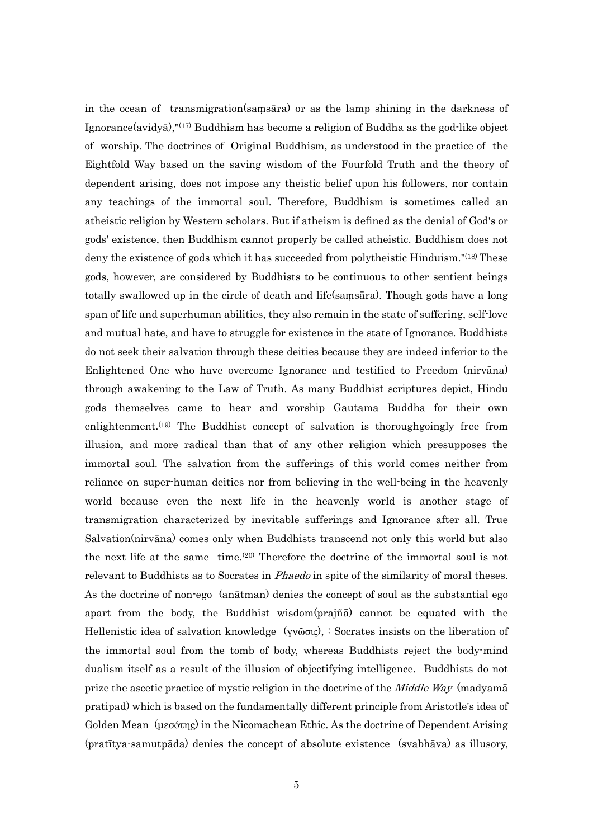in the ocean of transmigration(saṃsāra) or as the lamp shining in the darkness of Ignorance(avidyā),"(17) Buddhism has become a religion of Buddha as the god-like object of worship. The doctrines of Original Buddhism, as understood in the practice of the Eightfold Way based on the saving wisdom of the Fourfold Truth and the theory of dependent arising, does not impose any theistic belief upon his followers, nor contain any teachings of the immortal soul. Therefore, Buddhism is sometimes called an atheistic religion by Western scholars. But if atheism is defined as the denial of God's or gods' existence, then Buddhism cannot properly be called atheistic. Buddhism does not deny the existence of gods which it has succeeded from polytheistic Hinduism."<sup>(18)</sup> These gods, however, are considered by Buddhists to be continuous to other sentient beings totally swallowed up in the circle of death and life(saṃsāra). Though gods have a long span of life and superhuman abilities, they also remain in the state of suffering, self-love and mutual hate, and have to struggle for existence in the state of Ignorance. Buddhists do not seek their salvation through these deities because they are indeed inferior to the Enlightened One who have overcome Ignorance and testified to Freedom (nirvāna) through awakening to the Law of Truth. As many Buddhist scriptures depict, Hindu gods themselves came to hear and worship Gautama Buddha for their own enlightenment.<sup>(19)</sup> The Buddhist concept of salvation is thoroughgoingly free from illusion, and more radical than that of any other religion which presupposes the immortal soul. The salvation from the sufferings of this world comes neither from reliance on super-human deities nor from believing in the well-being in the heavenly world because even the next life in the heavenly world is another stage of transmigration characterized by inevitable sufferings and Ignorance after all. True Salvation(nirvāna) comes only when Buddhists transcend not only this world but also the next life at the same time.(20) Therefore the doctrine of the immortal soul is not relevant to Buddhists as to Socrates in *Phaedo* in spite of the similarity of moral theses. As the doctrine of non-ego (anātman) denies the concept of soul as the substantial ego apart from the body, the Buddhist wisdom(prajñā) cannot be equated with the Hellenistic idea of salvation knowledge (γνῶσις), : Socrates insists on the liberation of the immortal soul from the tomb of body, whereas Buddhists reject the body-mind dualism itself as a result of the illusion of objectifying intelligence. Buddhists do not prize the ascetic practice of mystic religion in the doctrine of the *Middle Way* (madyama pratipad) which is based on the fundamentally different principle from Aristotle's idea of Golden Mean (μεσότης) in the Nicomachean Ethic. As the doctrine of Dependent Arising (pratītya-samutpāda) denies the concept of absolute existence (svabhāva) as illusory,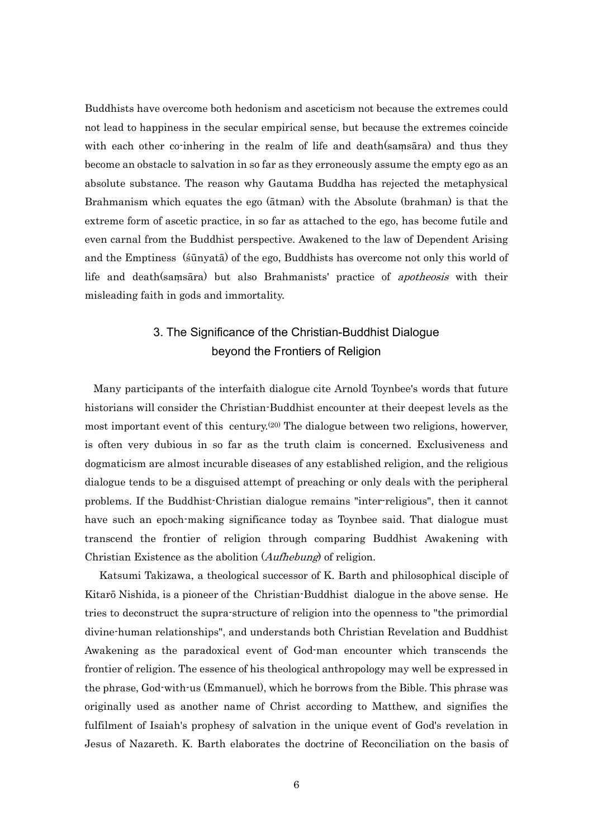Buddhists have overcome both hedonism and asceticism not because the extremes could not lead to happiness in the secular empirical sense, but because the extremes coincide with each other co-inhering in the realm of life and death(samsara) and thus they become an obstacle to salvation in so far as they erroneously assume the empty ego as an absolute substance. The reason why Gautama Buddha has rejected the metaphysical Brahmanism which equates the ego (ātman) with the Absolute (brahman) is that the extreme form of ascetic practice, in so far as attached to the ego, has become futile and even carnal from the Buddhist perspective. Awakened to the law of Dependent Arising and the Emptiness (śūnyatā) of the ego, Buddhists has overcome not only this world of life and death(samsara) but also Brahmanists' practice of *apotheosis* with their misleading faith in gods and immortality.

## 3. The Significance of the Christian-Buddhist Dialogue beyond the Frontiers of Religion

 Many participants of the interfaith dialogue cite Arnold Toynbee's words that future historians will consider the Christian-Buddhist encounter at their deepest levels as the most important event of this century.<sup>(20)</sup> The dialogue between two religions, howerver, is often very dubious in so far as the truth claim is concerned. Exclusiveness and dogmaticism are almost incurable diseases of any established religion, and the religious dialogue tends to be a disguised attempt of preaching or only deals with the peripheral problems. If the Buddhist-Christian dialogue remains "inter-religious", then it cannot have such an epoch-making significance today as Toynbee said. That dialogue must transcend the frontier of religion through comparing Buddhist Awakening with Christian Existence as the abolition (Aufhebung) of religion.

 Katsumi Takizawa, a theological successor of K. Barth and philosophical disciple of Kitarō Nishida, is a pioneer of the Christian-Buddhist dialogue in the above sense. He tries to deconstruct the supra-structure of religion into the openness to "the primordial divine-human relationships", and understands both Christian Revelation and Buddhist Awakening as the paradoxical event of God-man encounter which transcends the frontier of religion. The essence of his theological anthropology may well be expressed in the phrase, God-with-us (Emmanuel), which he borrows from the Bible. This phrase was originally used as another name of Christ according to Matthew, and signifies the fulfilment of Isaiah's prophesy of salvation in the unique event of God's revelation in Jesus of Nazareth. K. Barth elaborates the doctrine of Reconciliation on the basis of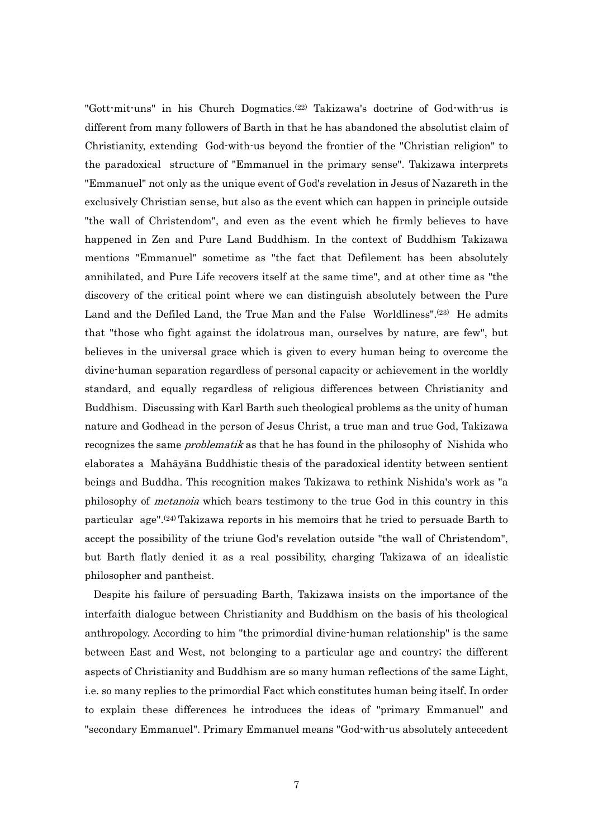"Gott-mit-uns" in his Church Dogmatics.(22) Takizawa's doctrine of God-with-us is different from many followers of Barth in that he has abandoned the absolutist claim of Christianity, extending God-with-us beyond the frontier of the "Christian religion" to the paradoxical structure of "Emmanuel in the primary sense". Takizawa interprets "Emmanuel" not only as the unique event of God's revelation in Jesus of Nazareth in the exclusively Christian sense, but also as the event which can happen in principle outside "the wall of Christendom", and even as the event which he firmly believes to have happened in Zen and Pure Land Buddhism. In the context of Buddhism Takizawa mentions "Emmanuel" sometime as "the fact that Defilement has been absolutely annihilated, and Pure Life recovers itself at the same time", and at other time as "the discovery of the critical point where we can distinguish absolutely between the Pure Land and the Defiled Land, the True Man and the False Worldliness".<sup>(23)</sup> He admits that "those who fight against the idolatrous man, ourselves by nature, are few", but believes in the universal grace which is given to every human being to overcome the divine-human separation regardless of personal capacity or achievement in the worldly standard, and equally regardless of religious differences between Christianity and Buddhism. Discussing with Karl Barth such theological problems as the unity of human nature and Godhead in the person of Jesus Christ, a true man and true God, Takizawa recognizes the same *problematik* as that he has found in the philosophy of Nishida who elaborates a Mahāyāna Buddhistic thesis of the paradoxical identity between sentient beings and Buddha. This recognition makes Takizawa to rethink Nishida's work as "a philosophy of metanoia which bears testimony to the true God in this country in this particular age".(24) Takizawa reports in his memoirs that he tried to persuade Barth to accept the possibility of the triune God's revelation outside "the wall of Christendom", but Barth flatly denied it as a real possibility, charging Takizawa of an idealistic philosopher and pantheist.

 Despite his failure of persuading Barth, Takizawa insists on the importance of the interfaith dialogue between Christianity and Buddhism on the basis of his theological anthropology. According to him "the primordial divine-human relationship" is the same between East and West, not belonging to a particular age and country; the different aspects of Christianity and Buddhism are so many human reflections of the same Light, i.e. so many replies to the primordial Fact which constitutes human being itself. In order to explain these differences he introduces the ideas of "primary Emmanuel" and "secondary Emmanuel". Primary Emmanuel means "God-with-us absolutely antecedent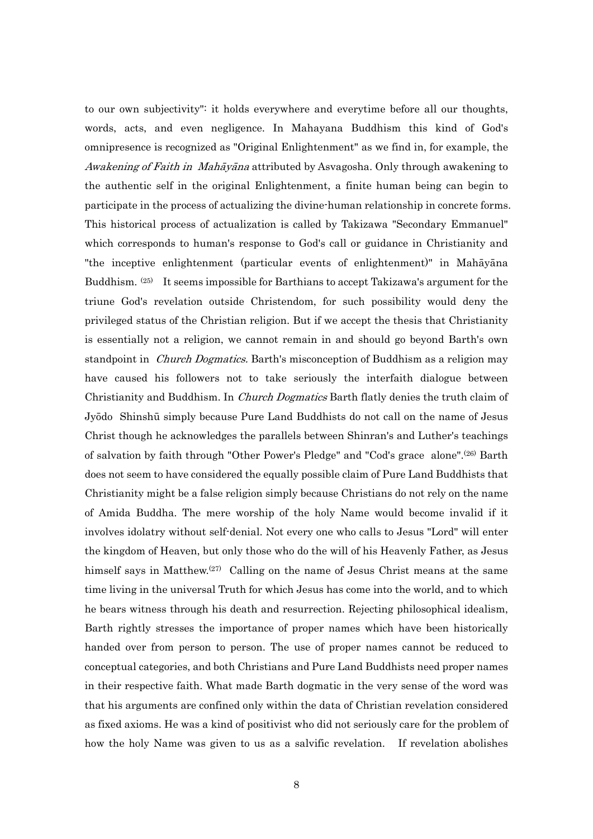to our own subjectivity": it holds everywhere and everytime before all our thoughts, words, acts, and even negligence. In Mahayana Buddhism this kind of God's omnipresence is recognized as "Original Enlightenment" as we find in, for example, the Awakening of Faith in Mahāyāna attributed by Asvagosha. Only through awakening to the authentic self in the original Enlightenment, a finite human being can begin to participate in the process of actualizing the divine-human relationship in concrete forms. This historical process of actualization is called by Takizawa "Secondary Emmanuel" which corresponds to human's response to God's call or guidance in Christianity and "the inceptive enlightenment (particular events of enlightenment)" in Mahāyāna Buddhism.  $(25)$  It seems impossible for Barthians to accept Takizawa's argument for the triune God's revelation outside Christendom, for such possibility would deny the privileged status of the Christian religion. But if we accept the thesis that Christianity is essentially not a religion, we cannot remain in and should go beyond Barth's own standpoint in *Church Dogmatics*. Barth's misconception of Buddhism as a religion may have caused his followers not to take seriously the interfaith dialogue between Christianity and Buddhism. In *Church Dogmatics* Barth flatly denies the truth claim of Jyōdo Shinshū simply because Pure Land Buddhists do not call on the name of Jesus Christ though he acknowledges the parallels between Shinran's and Luther's teachings of salvation by faith through "Other Power's Pledge" and "Cod's grace alone".(26) Barth does not seem to have considered the equally possible claim of Pure Land Buddhists that Christianity might be a false religion simply because Christians do not rely on the name of Amida Buddha. The mere worship of the holy Name would become invalid if it involves idolatry without self-denial. Not every one who calls to Jesus "Lord" will enter the kingdom of Heaven, but only those who do the will of his Heavenly Father, as Jesus himself says in Matthew.<sup>(27)</sup> Calling on the name of Jesus Christ means at the same time living in the universal Truth for which Jesus has come into the world, and to which he bears witness through his death and resurrection. Rejecting philosophical idealism, Barth rightly stresses the importance of proper names which have been historically handed over from person to person. The use of proper names cannot be reduced to conceptual categories, and both Christians and Pure Land Buddhists need proper names in their respective faith. What made Barth dogmatic in the very sense of the word was that his arguments are confined only within the data of Christian revelation considered as fixed axioms. He was a kind of positivist who did not seriously care for the problem of how the holy Name was given to us as a salvific revelation. If revelation abolishes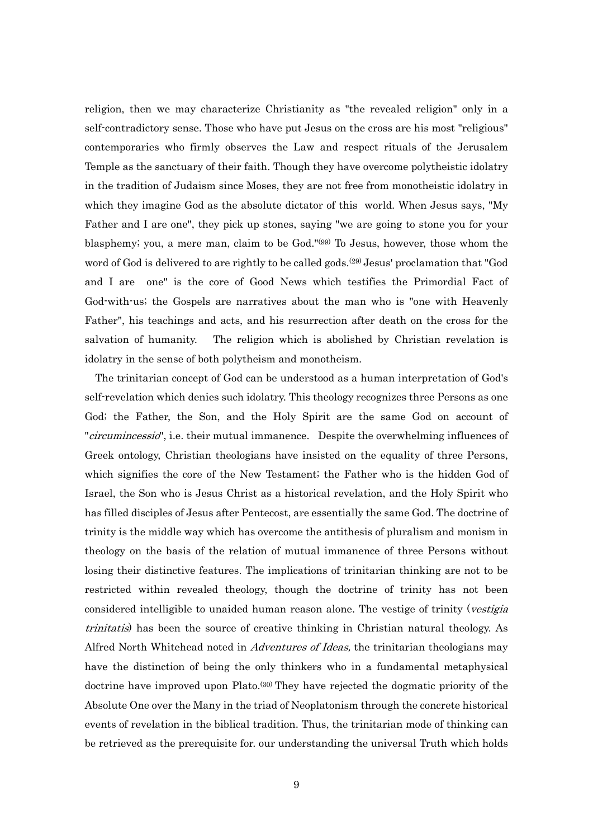religion, then we may characterize Christianity as "the revealed religion" only in a self-contradictory sense. Those who have put Jesus on the cross are his most "religious" contemporaries who firmly observes the Law and respect rituals of the Jerusalem Temple as the sanctuary of their faith. Though they have overcome polytheistic idolatry in the tradition of Judaism since Moses, they are not free from monotheistic idolatry in which they imagine God as the absolute dictator of this world. When Jesus says, "My Father and I are one", they pick up stones, saying "we are going to stone you for your blasphemy; you, a mere man, claim to be God."(99) To Jesus, however, those whom the word of God is delivered to are rightly to be called gods.<sup>(29)</sup> Jesus' proclamation that "God and I are one" is the core of Good News which testifies the Primordial Fact of God-with-us; the Gospels are narratives about the man who is "one with Heavenly Father", his teachings and acts, and his resurrection after death on the cross for the salvation of humanity. The religion which is abolished by Christian revelation is idolatry in the sense of both polytheism and monotheism.

The trinitarian concept of God can be understood as a human interpretation of God's self-revelation which denies such idolatry. This theology recognizes three Persons as one God; the Father, the Son, and the Holy Spirit are the same God on account of "*circumincessio*", i.e. their mutual immanence. Despite the overwhelming influences of Greek ontology, Christian theologians have insisted on the equality of three Persons, which signifies the core of the New Testament; the Father who is the hidden God of Israel, the Son who is Jesus Christ as a historical revelation, and the Holy Spirit who has filled disciples of Jesus after Pentecost, are essentially the same God. The doctrine of trinity is the middle way which has overcome the antithesis of pluralism and monism in theology on the basis of the relation of mutual immanence of three Persons without losing their distinctive features. The implications of trinitarian thinking are not to be restricted within revealed theology, though the doctrine of trinity has not been considered intelligible to unaided human reason alone. The vestige of trinity (*vestigia*) trinitatis) has been the source of creative thinking in Christian natural theology. As Alfred North Whitehead noted in Adventures of Ideas, the trinitarian theologians may have the distinction of being the only thinkers who in a fundamental metaphysical doctrine have improved upon Plato.<sup>(30)</sup> They have rejected the dogmatic priority of the Absolute One over the Many in the triad of Neoplatonism through the concrete historical events of revelation in the biblical tradition. Thus, the trinitarian mode of thinking can be retrieved as the prerequisite for. our understanding the universal Truth which holds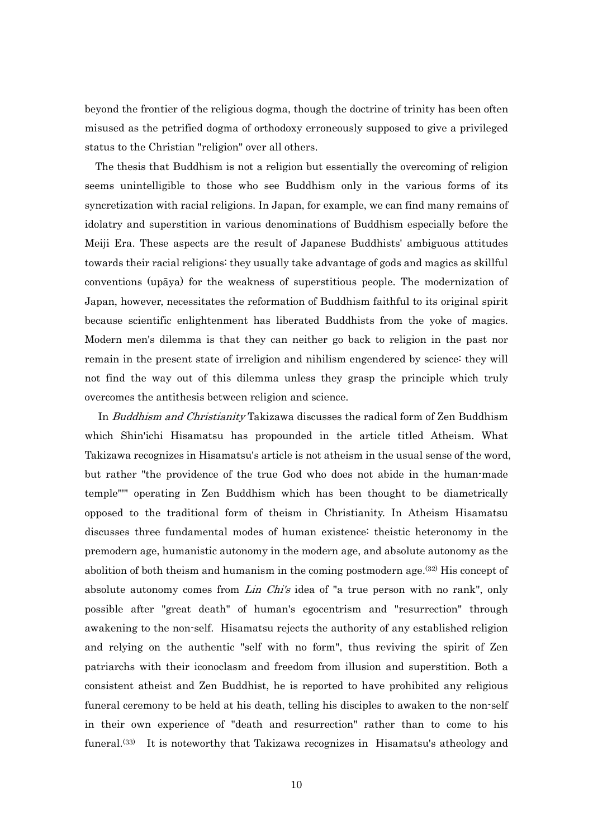beyond the frontier of the religious dogma, though the doctrine of trinity has been often misused as the petrified dogma of orthodoxy erroneously supposed to give a privileged status to the Christian "religion" over all others.

The thesis that Buddhism is not a religion but essentially the overcoming of religion seems unintelligible to those who see Buddhism only in the various forms of its syncretization with racial religions. In Japan, for example, we can find many remains of idolatry and superstition in various denominations of Buddhism especially before the Meiji Era. These aspects are the result of Japanese Buddhists' ambiguous attitudes towards their racial religions: they usually take advantage of gods and magics as skillful conventions (upāya) for the weakness of superstitious people. The modernization of Japan, however, necessitates the reformation of Buddhism faithful to its original spirit because scientific enlightenment has liberated Buddhists from the yoke of magics. Modern men's dilemma is that they can neither go back to religion in the past nor remain in the present state of irreligion and nihilism engendered by science: they will not find the way out of this dilemma unless they grasp the principle which truly overcomes the antithesis between religion and science.

 In Buddhism and Christianity Takizawa discusses the radical form of Zen Buddhism which Shin'ichi Hisamatsu has propounded in the article titled Atheism. What Takizawa recognizes in Hisamatsu's article is not atheism in the usual sense of the word, but rather "the providence of the true God who does not abide in the human-made temple"'" operating in Zen Buddhism which has been thought to be diametrically opposed to the traditional form of theism in Christianity. In Atheism Hisamatsu discusses three fundamental modes of human existence: theistic heteronomy in the premodern age, humanistic autonomy in the modern age, and absolute autonomy as the abolition of both theism and humanism in the coming postmodern age.<sup>(32)</sup> His concept of absolute autonomy comes from *Lin Chi's* idea of "a true person with no rank", only possible after "great death" of human's egocentrism and "resurrection" through awakening to the non-self. Hisamatsu rejects the authority of any established religion and relying on the authentic "self with no form", thus reviving the spirit of Zen patriarchs with their iconoclasm and freedom from illusion and superstition. Both a consistent atheist and Zen Buddhist, he is reported to have prohibited any religious funeral ceremony to be held at his death, telling his disciples to awaken to the non-self in their own experience of "death and resurrection" rather than to come to his funeral.<sup>(33)</sup> It is noteworthy that Takizawa recognizes in Hisamatsu's atheology and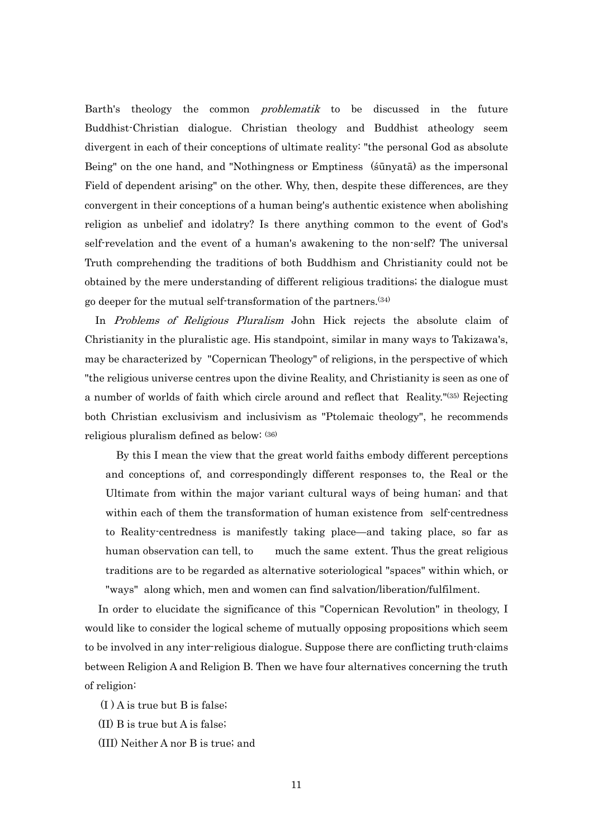Barth's theology the common *problematik* to be discussed in the future Buddhist-Christian dialogue. Christian theology and Buddhist atheology seem divergent in each of their conceptions of ultimate reality: "the personal God as absolute Being" on the one hand, and "Nothingness or Emptiness (śūnyatā) as the impersonal Field of dependent arising" on the other. Why, then, despite these differences, are they convergent in their conceptions of a human being's authentic existence when abolishing religion as unbelief and idolatry? Is there anything common to the event of God's self-revelation and the event of a human's awakening to the non-self? The universal Truth comprehending the traditions of both Buddhism and Christianity could not be obtained by the mere understanding of different religious traditions; the dialogue must go deeper for the mutual self-transformation of the partners.(34)

In Problems of Religious Pluralism John Hick rejects the absolute claim of Christianity in the pluralistic age. His standpoint, similar in many ways to Takizawa's, may be characterized by "Copernican Theology" of religions, in the perspective of which "the religious universe centres upon the divine Reality, and Christianity is seen as one of a number of worlds of faith which circle around and reflect that Reality."(35) Rejecting both Christian exclusivism and inclusivism as "Ptolemaic theology", he recommends religious pluralism defined as below: (36)

By this I mean the view that the great world faiths embody different perceptions and conceptions of, and correspondingly different responses to, the Real or the Ultimate from within the major variant cultural ways of being human; and that within each of them the transformation of human existence from self-centredness to Reality-centredness is manifestly taking place—and taking place, so far as human observation can tell, to much the same extent. Thus the great religious traditions are to be regarded as alternative soteriological "spaces" within which, or "ways" along which, men and women can find salvation/liberation/fulfilment.

 In order to elucidate the significance of this "Copernican Revolution" in theology, I would like to consider the logical scheme of mutually opposing propositions which seem to be involved in any inter-religious dialogue. Suppose there are conflicting truth-claims between Religion A and Religion B. Then we have four alternatives concerning the truth of religion:

 $(I)$  A is true but B is false;

(II) B is true but A is false;

(III) Neither A nor B is true; and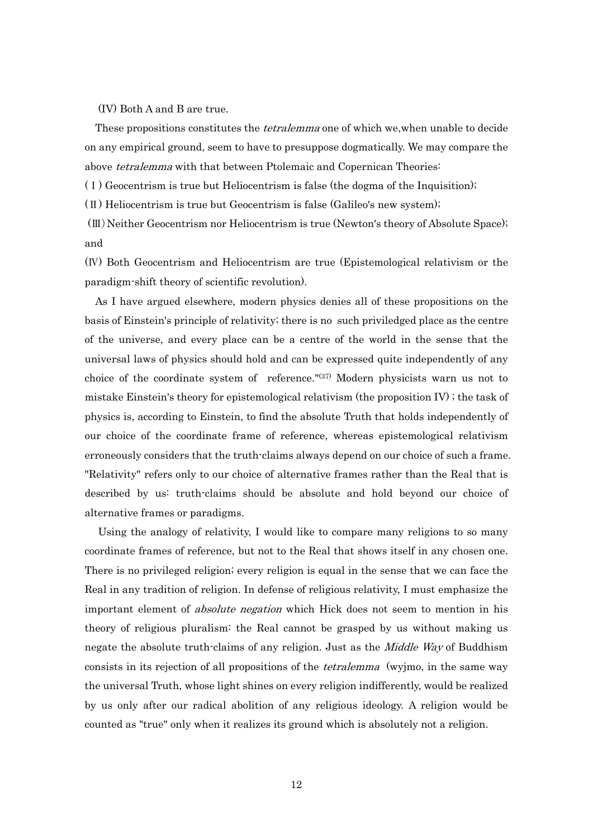(IV) Both A and B are true.

These propositions constitutes the *tetralemma* one of which we, when unable to decide on any empirical ground, seem to have to presuppose dogmatically. We may compare the above *tetralemma* with that between Ptolemaic and Copernican Theories:

(Ⅰ) Geocentrism is true but Heliocentrism is false (the dogma of the Inquisition);

 $(\Pi)$  Heliocentrism is true but Geocentrism is false (Galileo's new system);

 (Ⅲ)Neither Geocentrism nor Heliocentrism is true (Newton's theory of Absolute Space); and

(Ⅳ) Both Geocentrism and Heliocentrism are true (Epistemological relativism or the paradigm-shift theory of scientific revolution).

As I have argued elsewhere, modern physics denies all of these propositions on the basis of Einstein's principle of relativity; there is no such priviledged place as the centre of the universe, and every place can be a centre of the world in the sense that the universal laws of physics should hold and can be expressed quite independently of any choice of the coordinate system of reference."(37) Modern physicists warn us not to mistake Einstein's theory for epistemological relativism (the proposition IV) ; the task of physics is, according to Einstein, to find the absolute Truth that holds independently of our choice of the coordinate frame of reference, whereas epistemological relativism erroneously considers that the truth-claims always depend on our choice of such a frame. "Relativity" refers only to our choice of alternative frames rather than the Real that is described by us: truth-claims should be absolute and hold beyond our choice of alternative frames or paradigms.

 Using the analogy of relativity, I would like to compare many religions to so many coordinate frames of reference, but not to the Real that shows itself in any chosen one. There is no privileged religion; every religion is equal in the sense that we can face the Real in any tradition of religion. In defense of religious relativity, I must emphasize the important element of *absolute negation* which Hick does not seem to mention in his theory of religious pluralism: the Real cannot be grasped by us without making us negate the absolute truth-claims of any religion. Just as the *Middle Way* of Buddhism consists in its rejection of all propositions of the *tetralemma* (wyjmo, in the same way the universal Truth, whose light shines on every religion indifferently, would be realized by us only after our radical abolition of any religious ideology. A religion would be counted as "true" only when it realizes its ground which is absolutely not a religion.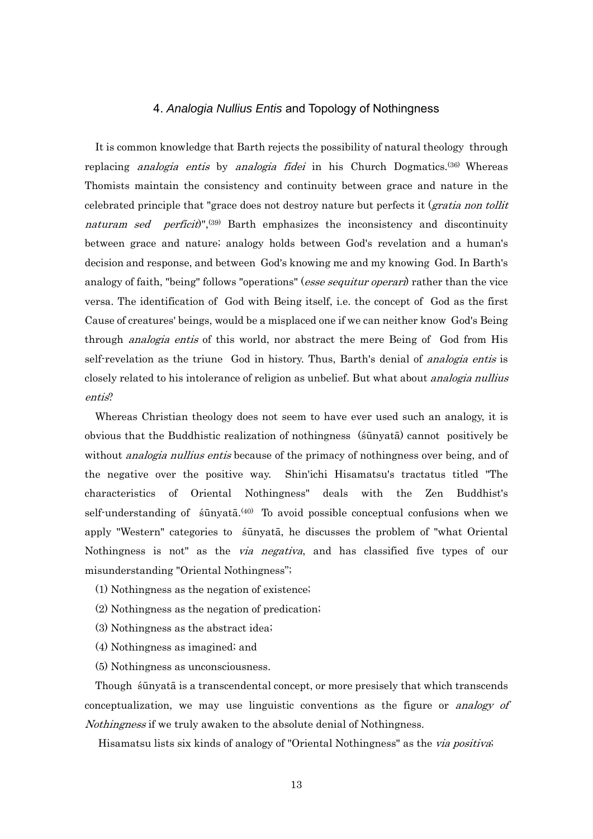#### 4. *Analogia Nullius Entis* and Topology of Nothingness

It is common knowledge that Barth rejects the possibility of natural theology through replacing *analogia entis* by *analogia fidei* in his Church Dogmatics.<sup>(36)</sup> Whereas Thomists maintain the consistency and continuity between grace and nature in the celebrated principle that "grace does not destroy nature but perfects it (*gratia non tollit*) naturam sed perficit)", $(39)$  Barth emphasizes the inconsistency and discontinuity between grace and nature; analogy holds between God's revelation and a human's decision and response, and between God's knowing me and my knowing God. In Barth's analogy of faith, "being" follows "operations" (*esse sequitur operari*) rather than the vice versa. The identification of God with Being itself, i.e. the concept of God as the first Cause of creatures' beings, would be a misplaced one if we can neither know God's Being through *analogia entis* of this world, nor abstract the mere Being of God from His self-revelation as the triune God in history. Thus, Barth's denial of *analogia entis* is closely related to his intolerance of religion as unbelief. But what about *analogia nullius* entis?

Whereas Christian theology does not seem to have ever used such an analogy, it is obvious that the Buddhistic realization of nothingness (śūnyatā) cannot positively be without *analogia nullius entis* because of the primacy of nothingness over being, and of the negative over the positive way. Shin'ichi Hisamatsu's tractatus titled "The characteristics of Oriental Nothingness" deals with the Zen Buddhist's self-understanding of sūnyatā.<sup>(40)</sup> To avoid possible conceptual confusions when we apply "Western" categories to śūnyatā, he discusses the problem of "what Oriental Nothingness is not" as the *via negativa*, and has classified five types of our misunderstanding "Oriental Nothingness";

- (1) Nothingness as the negation of existence;
- (2) Nothingness as the negation of predication;
- (3) Nothingness as the abstract idea;
- (4) Nothingness as imagined; and
- (5) Nothingness as unconsciousness.

Though śūnyatā is a transcendental concept, or more presisely that which transcends conceptualization, we may use linguistic conventions as the figure or analogy of Nothingness if we truly awaken to the absolute denial of Nothingness.

Hisamatsu lists six kinds of analogy of "Oriental Nothingness" as the *via positiva*;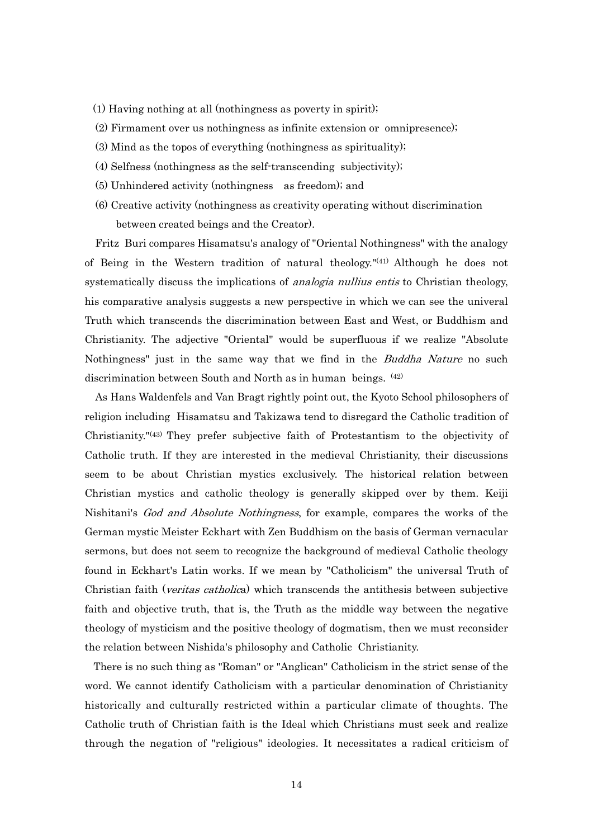- (1) Having nothing at all (nothingness as poverty in spirit);
- (2) Firmament over us nothingness as infinite extension or omnipresence);
- (3) Mind as the topos of everything (nothingness as spirituality);
- (4) Selfness (nothingness as the self-transcending subjectivity);
- (5) Unhindered activity (nothingness as freedom); and
- (6) Creative activity (nothingness as creativity operating without discrimination between created beings and the Creator).

Fritz Buri compares Hisamatsu's analogy of "Oriental Nothingness" with the analogy of Being in the Western tradition of natural theology."(41) Although he does not systematically discuss the implications of *analogia nullius entis* to Christian theology, his comparative analysis suggests a new perspective in which we can see the univeral Truth which transcends the discrimination between East and West, or Buddhism and Christianity. The adjective "Oriental" would be superfluous if we realize "Absolute Nothingness" just in the same way that we find in the *Buddha Nature* no such discrimination between South and North as in human beings. (42)

As Hans Waldenfels and Van Bragt rightly point out, the Kyoto School philosophers of religion including Hisamatsu and Takizawa tend to disregard the Catholic tradition of Christianity."(43) They prefer subjective faith of Protestantism to the objectivity of Catholic truth. If they are interested in the medieval Christianity, their discussions seem to be about Christian mystics exclusively. The historical relation between Christian mystics and catholic theology is generally skipped over by them. Keiji Nishitani's God and Absolute Nothingness, for example, compares the works of the German mystic Meister Eckhart with Zen Buddhism on the basis of German vernacular sermons, but does not seem to recognize the background of medieval Catholic theology found in Eckhart's Latin works. If we mean by "Catholicism" the universal Truth of Christian faith (*veritas catholica*) which transcends the antithesis between subjective faith and objective truth, that is, the Truth as the middle way between the negative theology of mysticism and the positive theology of dogmatism, then we must reconsider the relation between Nishida's philosophy and Catholic Christianity.

 There is no such thing as "Roman" or "Anglican" Catholicism in the strict sense of the word. We cannot identify Catholicism with a particular denomination of Christianity historically and culturally restricted within a particular climate of thoughts. The Catholic truth of Christian faith is the Ideal which Christians must seek and realize through the negation of "religious" ideologies. It necessitates a radical criticism of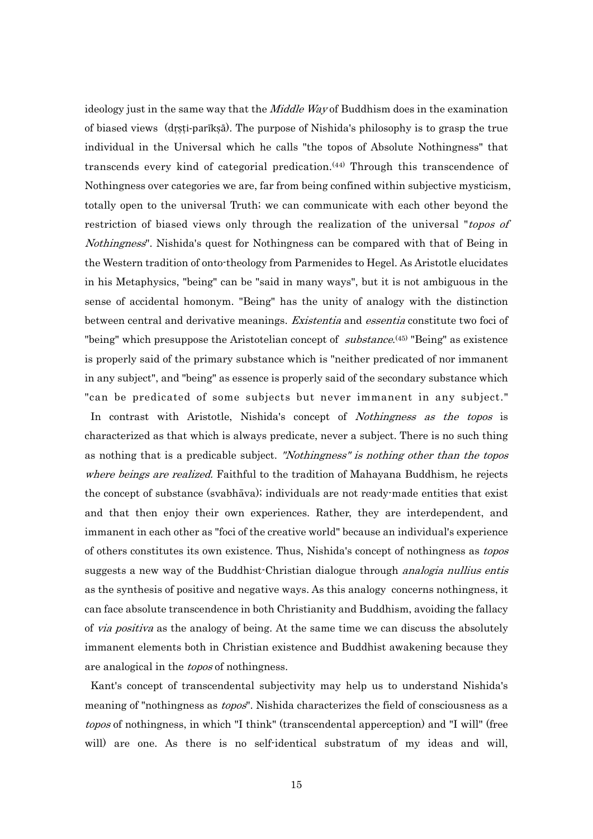ideology just in the same way that the *Middle Way* of Buddhism does in the examination of biased views (dṛṣṭi‐parīkṣā). The purpose of Nishida's philosophy is to grasp the true individual in the Universal which he calls "the topos of Absolute Nothingness" that transcends every kind of categorial predication.(44) Through this transcendence of Nothingness over categories we are, far from being confined within subjective mysticism, totally open to the universal Truth; we can communicate with each other beyond the restriction of biased views only through the realization of the universal "topos of Nothingness". Nishida's quest for Nothingness can be compared with that of Being in the Western tradition of onto-theology from Parmenides to Hegel. As Aristotle elucidates in his Metaphysics, "being" can be "said in many ways", but it is not ambiguous in the sense of accidental homonym. "Being" has the unity of analogy with the distinction between central and derivative meanings. Existentia and essentia constitute two foci of "being" which presuppose the Aristotelian concept of *substance*.<sup>(45)</sup> "Being" as existence is properly said of the primary substance which is "neither predicated of nor immanent in any subject", and "being" as essence is properly said of the secondary substance which "can be predicated of some subjects but never immanent in any subject." In contrast with Aristotle, Nishida's concept of Nothingness as the topos is characterized as that which is always predicate, never a subject. There is no such thing as nothing that is a predicable subject. "Nothingness" is nothing other than the topos where beings are realized. Faithful to the tradition of Mahayana Buddhism, he rejects the concept of substance (svabhāva); individuals are not ready-made entities that exist and that then enjoy their own experiences. Rather, they are interdependent, and immanent in each other as "foci of the creative world" because an individual's experience of others constitutes its own existence. Thus, Nishida's concept of nothingness as topos suggests a new way of the Buddhist-Christian dialogue through *analogia nullius entis* as the synthesis of positive and negative ways. As this analogy concerns nothingness, it can face absolute transcendence in both Christianity and Buddhism, avoiding the fallacy of *via positiva* as the analogy of being. At the same time we can discuss the absolutely immanent elements both in Christian existence and Buddhist awakening because they are analogical in the *topos* of nothingness.

 Kant's concept of transcendental subjectivity may help us to understand Nishida's meaning of "nothingness as *topos*". Nishida characterizes the field of consciousness as a topos of nothingness, in which "I think" (transcendental apperception) and "I will" (free will) are one. As there is no self-identical substratum of my ideas and will,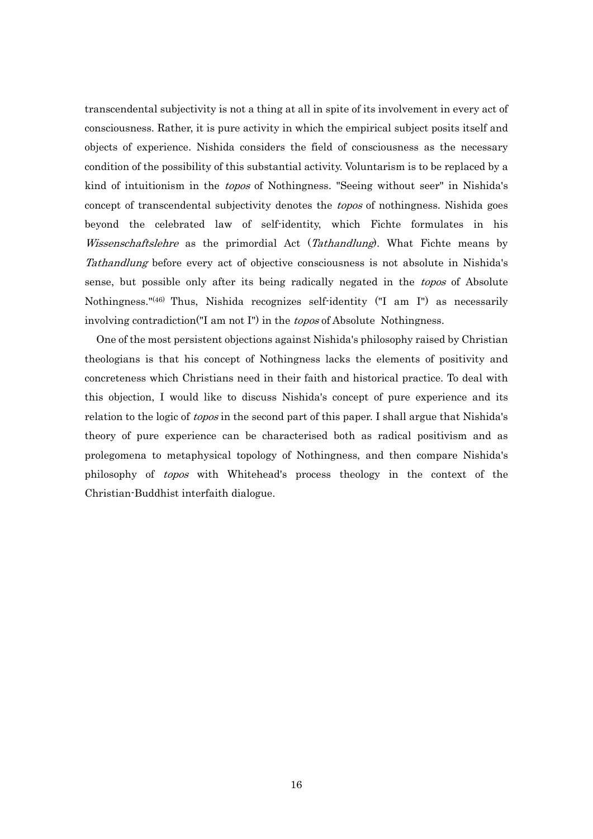transcendental subjectivity is not a thing at all in spite of its involvement in every act of consciousness. Rather, it is pure activity in which the empirical subject posits itself and objects of experience. Nishida considers the field of consciousness as the necessary condition of the possibility of this substantial activity. Voluntarism is to be replaced by a kind of intuitionism in the topos of Nothingness. "Seeing without seer" in Nishida's concept of transcendental subjectivity denotes the *topos* of nothingness. Nishida goes beyond the celebrated law of self-identity, which Fichte formulates in his Wissenschaftslehre as the primordial Act (Tathandlung). What Fichte means by Tathandlung before every act of objective consciousness is not absolute in Nishida's sense, but possible only after its being radically negated in the *topos* of Absolute Nothingness."(46) Thus, Nishida recognizes self-identity ("I am I") as necessarily involving contradiction("I am not I") in the topos of Absolute Nothingness.

 One of the most persistent objections against Nishida's philosophy raised by Christian theologians is that his concept of Nothingness lacks the elements of positivity and concreteness which Christians need in their faith and historical practice. To deal with this objection, I would like to discuss Nishida's concept of pure experience and its relation to the logic of topos in the second part of this paper. I shall argue that Nishida's theory of pure experience can be characterised both as radical positivism and as prolegomena to metaphysical topology of Nothingness, and then compare Nishida's philosophy of topos with Whitehead's process theology in the context of the Christian-Buddhist interfaith dialogue.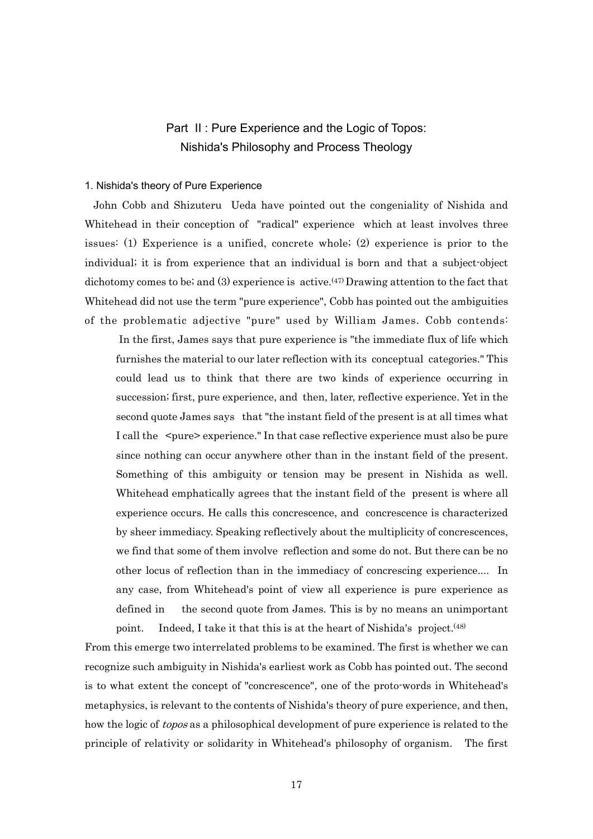## Part II : Pure Experience and the Logic of Topos: Nishida's Philosophy and Process Theology

#### 1. Nishida's theory of Pure Experience

 John Cobb and Shizuteru Ueda have pointed out the congeniality of Nishida and Whitehead in their conception of "radical" experience which at least involves three issues: (1) Experience is a unified, concrete whole; (2) experience is prior to the individual; it is from experience that an individual is born and that a subject-object dichotomy comes to be; and (3) experience is active.<sup>(47)</sup> Drawing attention to the fact that Whitehead did not use the term "pure experience", Cobb has pointed out the ambiguities of the problematic adjective "pure" used by William James. Cobb contends:

 In the first, James says that pure experience is "the immediate flux of life which furnishes the material to our later reflection with its conceptual categories." This could lead us to think that there are two kinds of experience occurring in succession; first, pure experience, and then, later, reflective experience. Yet in the second quote James says that "the instant field of the present is at all times what I call the  $\leq$  pure  $\geq$  experience." In that case reflective experience must also be pure since nothing can occur anywhere other than in the instant field of the present. Something of this ambiguity or tension may be present in Nishida as well. Whitehead emphatically agrees that the instant field of the present is where all experience occurs. He calls this concrescence, and concrescence is characterized by sheer immediacy. Speaking reflectively about the multiplicity of concrescences, we find that some of them involve reflection and some do not. But there can be no other locus of reflection than in the immediacy of concrescing experience.... In any case, from Whitehead's point of view all experience is pure experience as defined in the second quote from James. This is by no means an unimportant point. Indeed, I take it that this is at the heart of Nishida's project.(48)

From this emerge two interrelated problems to be examined. The first is whether we can recognize such ambiguity in Nishida's earliest work as Cobb has pointed out. The second is to what extent the concept of "concrescence", one of the proto-words in Whitehead's metaphysics, is relevant to the contents of Nishida's theory of pure experience, and then, how the logic of *topos* as a philosophical development of pure experience is related to the principle of relativity or solidarity in Whitehead's philosophy of organism. The first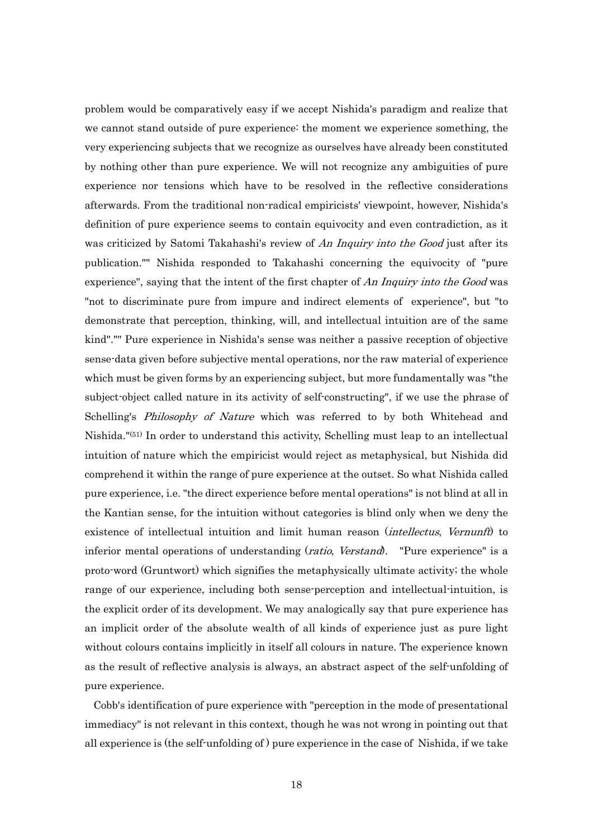problem would be comparatively easy if we accept Nishida's paradigm and realize that we cannot stand outside of pure experience: the moment we experience something, the very experiencing subjects that we recognize as ourselves have already been constituted by nothing other than pure experience. We will not recognize any ambiguities of pure experience nor tensions which have to be resolved in the reflective considerations afterwards. From the traditional non-radical empiricists' viewpoint, however, Nishida's definition of pure experience seems to contain equivocity and even contradiction, as it was criticized by Satomi Takahashi's review of An Inquiry into the Good just after its publication."" Nishida responded to Takahashi concerning the equivocity of "pure experience", saying that the intent of the first chapter of An Inquiry into the Good was "not to discriminate pure from impure and indirect elements of experience", but "to demonstrate that perception, thinking, will, and intellectual intuition are of the same kind"."" Pure experience in Nishida's sense was neither a passive reception of objective sense-data given before subjective mental operations, nor the raw material of experience which must be given forms by an experiencing subject, but more fundamentally was "the subject-object called nature in its activity of self-constructing", if we use the phrase of Schelling's *Philosophy of Nature* which was referred to by both Whitehead and Nishida."(51) In order to understand this activity, Schelling must leap to an intellectual intuition of nature which the empiricist would reject as metaphysical, but Nishida did comprehend it within the range of pure experience at the outset. So what Nishida called pure experience, i.e. "the direct experience before mental operations" is not blind at all in the Kantian sense, for the intuition without categories is blind only when we deny the existence of intellectual intuition and limit human reason (*intellectus, Vernunft*) to inferior mental operations of understanding (*ratio, Verstand*). "Pure experience" is a proto-word (Gruntwort) which signifies the metaphysically ultimate activity; the whole range of our experience, including both sense-perception and intellectual-intuition, is the explicit order of its development. We may analogically say that pure experience has an implicit order of the absolute wealth of all kinds of experience just as pure light without colours contains implicitly in itself all colours in nature. The experience known as the result of reflective analysis is always, an abstract aspect of the self-unfolding of pure experience.

 Cobb's identification of pure experience with "perception in the mode of presentational immediacy" is not relevant in this context, though he was not wrong in pointing out that all experience is (the self-unfolding of ) pure experience in the case of Nishida, if we take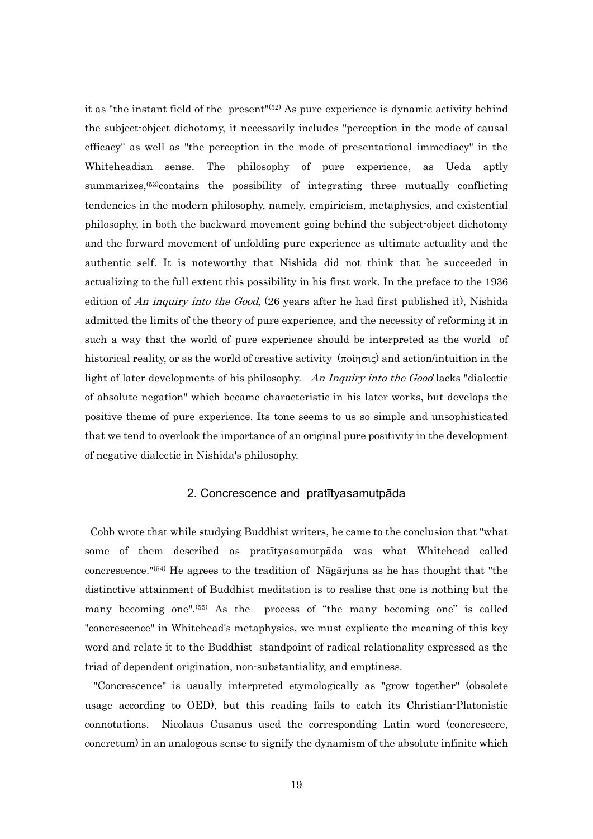it as "the instant field of the present"(52) As pure experience is dynamic activity behind the subject-object dichotomy, it necessarily includes "perception in the mode of causal efficacy" as well as "the perception in the mode of presentational immediacy" in the Whiteheadian sense. The philosophy of pure experience, as Ueda aptly summarizes,<sup>(53)</sup>contains the possibility of integrating three mutually conflicting tendencies in the modern philosophy, namely, empiricism, metaphysics, and existential philosophy, in both the backward movement going behind the subject-object dichotomy and the forward movement of unfolding pure experience as ultimate actuality and the authentic self. It is noteworthy that Nishida did not think that he succeeded in actualizing to the full extent this possibility in his first work. In the preface to the 1936 edition of An *inquiry into the Good*, (26 years after he had first published it), Nishida admitted the limits of the theory of pure experience, and the necessity of reforming it in such a way that the world of pure experience should be interpreted as the world of historical reality, or as the world of creative activity  $(\pi o(\eta \sigma \iota \zeta))$  and action/intuition in the light of later developments of his philosophy. An Inquiry into the Good lacks "dialectic" of absolute negation" which became characteristic in his later works, but develops the positive theme of pure experience. Its tone seems to us so simple and unsophisticated that we tend to overlook the importance of an original pure positivity in the development of negative dialectic in Nishida's philosophy.

#### 2. Concrescence and pratītyasamutpāda

 Cobb wrote that while studying Buddhist writers, he came to the conclusion that "what some of them described as pratītyasamutpāda was what Whitehead called concrescence."(54) He agrees to the tradition of Nāgārjuna as he has thought that "the distinctive attainment of Buddhist meditation is to realise that one is nothing but the many becoming one".<sup>(55)</sup> As the process of "the many becoming one" is called "concrescence" in Whitehead's metaphysics, we must explicate the meaning of this key word and relate it to the Buddhist standpoint of radical relationality expressed as the triad of dependent origination, non-substantiality, and emptiness.

 "Concrescence" is usually interpreted etymologically as "grow together" (obsolete usage according to OED), but this reading fails to catch its Christian-Platonistic connotations. Nicolaus Cusanus used the corresponding Latin word (concrescere, concretum) in an analogous sense to signify the dynamism of the absolute infinite which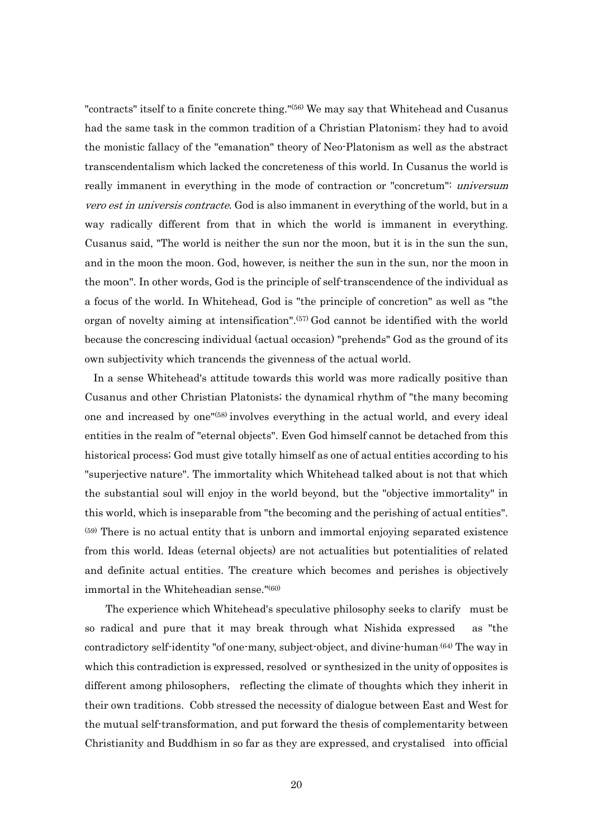"contracts" itself to a finite concrete thing."(56) We may say that Whitehead and Cusanus had the same task in the common tradition of a Christian Platonism; they had to avoid the monistic fallacy of the "emanation" theory of Neo-Platonism as well as the abstract transcendentalism which lacked the concreteness of this world. In Cusanus the world is really immanent in everything in the mode of contraction or "concretum": *universum* vero est in universis contracte. God is also immanent in everything of the world, but in a way radically different from that in which the world is immanent in everything. Cusanus said, "The world is neither the sun nor the moon, but it is in the sun the sun, and in the moon the moon. God, however, is neither the sun in the sun, nor the moon in the moon". In other words, God is the principle of self-transcendence of the individual as a focus of the world. In Whitehead, God is "the principle of concretion" as well as "the organ of novelty aiming at intensification".(57) God cannot be identified with the world because the concrescing individual (actual occasion) "prehends" God as the ground of its own subjectivity which trancends the givenness of the actual world.

 In a sense Whitehead's attitude towards this world was more radically positive than Cusanus and other Christian Platonists; the dynamical rhythm of "the many becoming one and increased by one"(58) involves everything in the actual world, and every ideal entities in the realm of "eternal objects". Even God himself cannot be detached from this historical process; God must give totally himself as one of actual entities according to his "superjective nature". The immortality which Whitehead talked about is not that which the substantial soul will enjoy in the world beyond, but the "objective immortality" in this world, which is inseparable from "the becoming and the perishing of actual entities". (59) There is no actual entity that is unborn and immortal enjoying separated existence from this world. Ideas (eternal objects) are not actualities but potentialities of related and definite actual entities. The creature which becomes and perishes is objectively immortal in the Whiteheadian sense."(60)

The experience which Whitehead's speculative philosophy seeks to clarify must be so radical and pure that it may break through what Nishida expressed as "the contradictory self-identity "of one-many, subject-object, and divine-human.<sup>(64)</sup> The way in which this contradiction is expressed, resolved or synthesized in the unity of opposites is different among philosophers, reflecting the climate of thoughts which they inherit in their own traditions. Cobb stressed the necessity of dialogue between East and West for the mutual self-transformation, and put forward the thesis of complementarity between Christianity and Buddhism in so far as they are expressed, and crystalised into official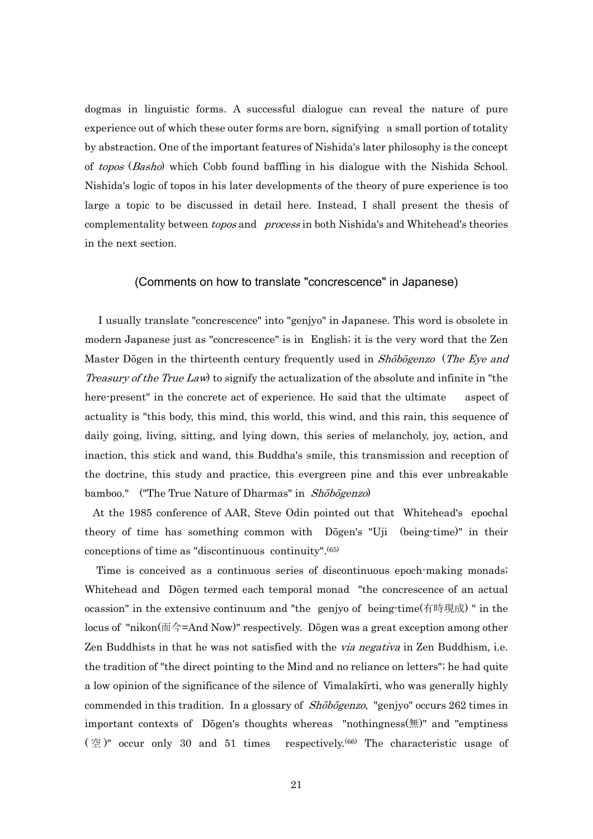dogmas in linguistic forms. A successful dialogue can reveal the nature of pure experience out of which these outer forms are born, signifying a small portion of totality by abstraction. One of the important features of Nishida's later philosophy is the concept of topos (Basho) which Cobb found baffling in his dialogue with the Nishida School. Nishida's logic of topos in his later developments of the theory of pure experience is too large a topic to be discussed in detail here. Instead, I shall present the thesis of complementality between *topos* and *process* in both Nishida's and Whitehead's theories in the next section.

### (Comments on how to translate "concrescence" in Japanese)

 I usually translate "concrescence" into "genjyo" in Japanese. This word is obsolete in modern Japanese just as "concrescence" is in English; it is the very word that the Zen Master Dōgen in the thirteenth century frequently used in Shōbōgenzo (The Eye and Treasury of the True Law) to signify the actualization of the absolute and infinite in "the here-present" in the concrete act of experience. He said that the ultimate aspect of actuality is "this body, this mind, this world, this wind, and this rain, this sequence of daily going, living, sitting, and lying down, this series of melancholy, joy, action, and inaction, this stick and wand, this Buddha's smile, this transmission and reception of the doctrine, this study and practice, this evergreen pine and this ever unbreakable bamboo." ("The True Nature of Dharmas" in Shōbōgenzo)

 At the 1985 conference of AAR, Steve Odin pointed out that Whitehead's epochal theory of time has something common with Dōgen's "Uji (being-time)" in their conceptions of time as "discontinuous continuity".(65)

 Time is conceived as a continuous series of discontinuous epoch-making monads; Whitehead and Dōgen termed each temporal monad "the concrescence of an actual ocassion" in the extensive continuum and "the genjyo of being-time(有時現成) " in the locus of "nikon(而今=And Now)" respectively. Dōgen was a great exception among other Zen Buddhists in that he was not satisfied with the *via negativa* in Zen Buddhism, i.e. the tradition of "the direct pointing to the Mind and no reliance on letters"; he had quite a low opinion of the significance of the silence of Vimalakīrti, who was generally highly commended in this tradition. In a glossary of *Shōbōgenzo*, "genjyo" occurs 262 times in important contexts of Dōgen's thoughts whereas "nothingness(無)" and "emptiness  $(\mathcal{Z})^{\prime\prime}$  occur only 30 and 51 times respectively.<sup>(66)</sup> The characteristic usage of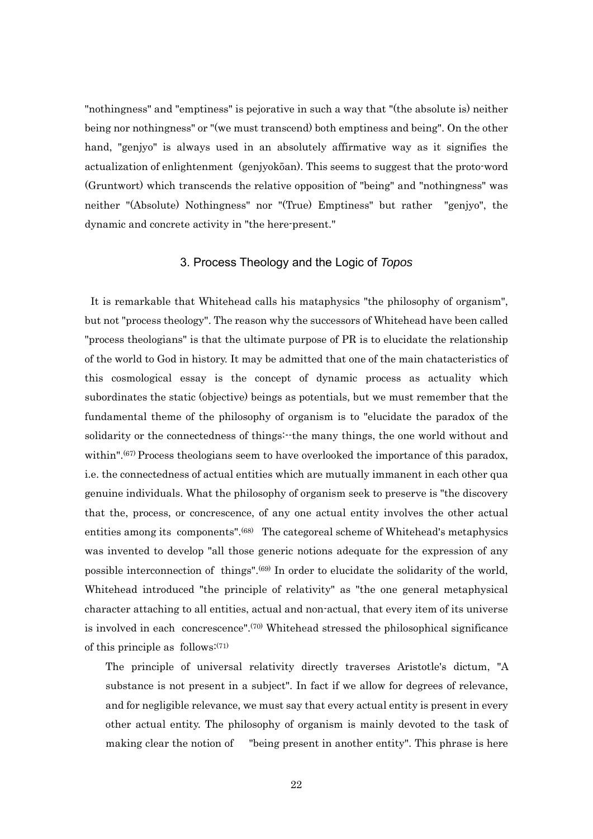"nothingness" and "emptiness" is pejorative in such a way that "(the absolute is) neither being nor nothingness" or "(we must transcend) both emptiness and being". On the other hand, "genjyo" is always used in an absolutely affirmative way as it signifies the actualization of enlightenment (genjyokōan). This seems to suggest that the proto-word (Gruntwort) which transcends the relative opposition of "being" and "nothingness" was neither "(Absolute) Nothingness" nor "(True) Emptiness" but rather "genjyo", the dynamic and concrete activity in "the here-present."

#### 3. Process Theology and the Logic of *Topos*

 It is remarkable that Whitehead calls his mataphysics "the philosophy of organism", but not "process theology". The reason why the successors of Whitehead have been called "process theologians" is that the ultimate purpose of PR is to elucidate the relationship of the world to God in history. It may be admitted that one of the main chatacteristics of this cosmological essay is the concept of dynamic process as actuality which subordinates the static (objective) beings as potentials, but we must remember that the fundamental theme of the philosophy of organism is to "elucidate the paradox of the solidarity or the connectedness of things:--the many things, the one world without and within".<sup>(67)</sup> Process theologians seem to have overlooked the importance of this paradox, i.e. the connectedness of actual entities which are mutually immanent in each other qua genuine individuals. What the philosophy of organism seek to preserve is "the discovery that the, process, or concrescence, of any one actual entity involves the other actual entities among its components".<sup>(68)</sup> The categoreal scheme of Whitehead's metaphysics was invented to develop "all those generic notions adequate for the expression of any possible interconnection of things".(69) In order to elucidate the solidarity of the world, Whitehead introduced "the principle of relativity" as "the one general metaphysical character attaching to all entities, actual and non-actual, that every item of its universe is involved in each concrescence".(70) Whitehead stressed the philosophical significance of this principle as follows: $(71)$ 

The principle of universal relativity directly traverses Aristotle's dictum, "A substance is not present in a subject". In fact if we allow for degrees of relevance, and for negligible relevance, we must say that every actual entity is present in every other actual entity. The philosophy of organism is mainly devoted to the task of making clear the notion of "being present in another entity". This phrase is here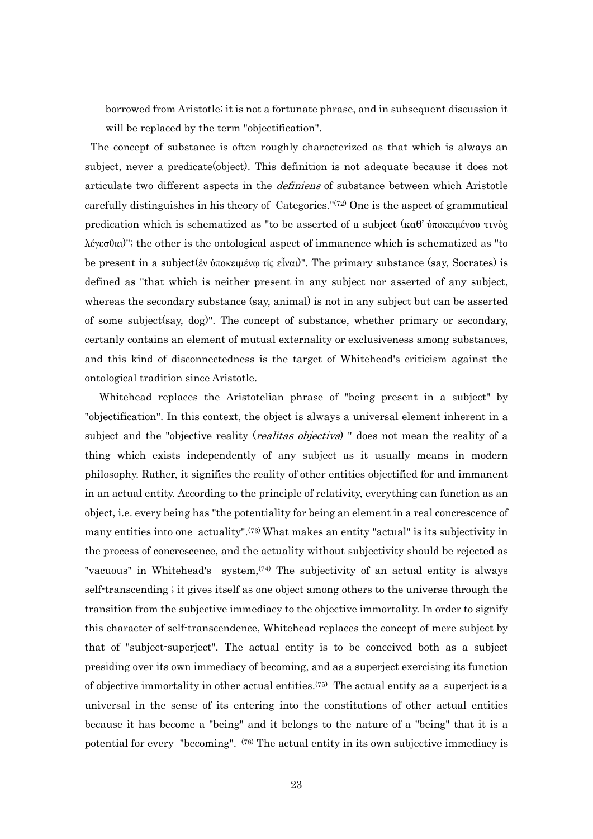borrowed from Aristotle; it is not a fortunate phrase, and in subsequent discussion it will be replaced by the term "objectification".

 The concept of substance is often roughly characterized as that which is always an subject, never a predicate(object). This definition is not adequate because it does not articulate two different aspects in the *definiens* of substance between which Aristotle carefully distinguishes in his theory of Categories."(72) One is the aspect of grammatical predication which is schematized as "to be asserted of a subject (καθ' ὑποκειμένου τινὸς λέγεσθαι)"; the other is the ontological aspect of immanence which is schematized as "to be present in a subject(ἐν ὑποκειμένῳ τίς εἶναι)". The primary substance (say, Socrates) is defined as "that which is neither present in any subject nor asserted of any subject, whereas the secondary substance (say, animal) is not in any subject but can be asserted of some subject(say, dog)". The concept of substance, whether primary or secondary, certanly contains an element of mutual externality or exclusiveness among substances, and this kind of disconnectedness is the target of Whitehead's criticism against the ontological tradition since Aristotle.

 Whitehead replaces the Aristotelian phrase of "being present in a subject" by "objectification". In this context, the object is always a universal element inherent in a subject and the "objective reality (*realitas objectiva*) " does not mean the reality of a thing which exists independently of any subject as it usually means in modern philosophy. Rather, it signifies the reality of other entities objectified for and immanent in an actual entity. According to the principle of relativity, everything can function as an object, i.e. every being has "the potentiality for being an element in a real concrescence of many entities into one actuality".(73) What makes an entity "actual" is its subjectivity in the process of concrescence, and the actuality without subjectivity should be rejected as "vacuous" in Whitehead's system,<sup>(74)</sup> The subjectivity of an actual entity is always self-transcending ; it gives itself as one object among others to the universe through the transition from the subjective immediacy to the objective immortality. In order to signify this character of self-transcendence, Whitehead replaces the concept of mere subject by that of "subject-superject". The actual entity is to be conceived both as a subject presiding over its own immediacy of becoming, and as a superject exercising its function of objective immortality in other actual entities.(75) The actual entity as a superject is a universal in the sense of its entering into the constitutions of other actual entities because it has become a "being" and it belongs to the nature of a "being" that it is a potential for every "becoming". (78) The actual entity in its own subjective immediacy is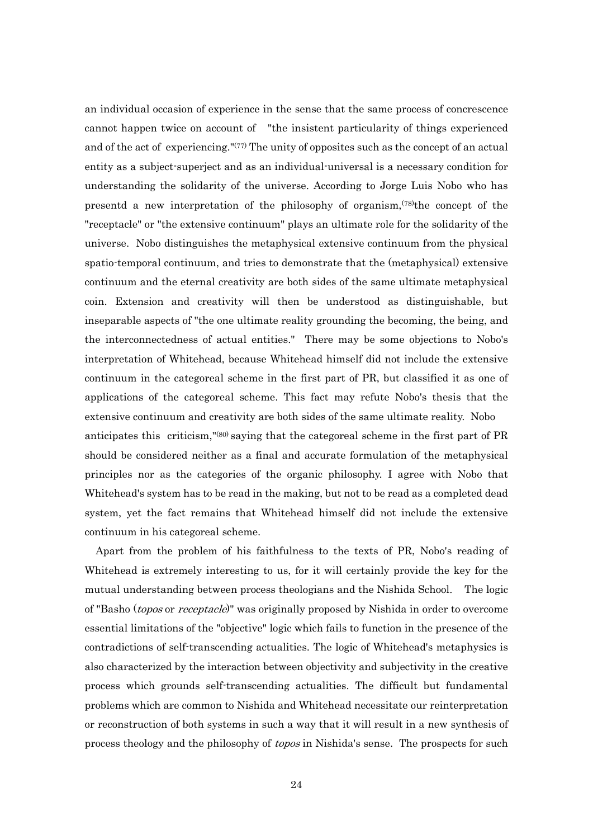an individual occasion of experience in the sense that the same process of concrescence cannot happen twice on account of "the insistent particularity of things experienced and of the act of experiencing."(77) The unity of opposites such as the concept of an actual entity as a subject-superject and as an individual-universal is a necessary condition for understanding the solidarity of the universe. According to Jorge Luis Nobo who has presentd a new interpretation of the philosophy of organism,  $(78)$ the concept of the "receptacle" or "the extensive continuum" plays an ultimate role for the solidarity of the universe. Nobo distinguishes the metaphysical extensive continuum from the physical spatio-temporal continuum, and tries to demonstrate that the (metaphysical) extensive continuum and the eternal creativity are both sides of the same ultimate metaphysical coin. Extension and creativity will then be understood as distinguishable, but inseparable aspects of "the one ultimate reality grounding the becoming, the being, and the interconnectedness of actual entities." There may be some objections to Nobo's interpretation of Whitehead, because Whitehead himself did not include the extensive continuum in the categoreal scheme in the first part of PR, but classified it as one of applications of the categoreal scheme. This fact may refute Nobo's thesis that the extensive continuum and creativity are both sides of the same ultimate reality. Nobo anticipates this criticism,"(80) saying that the categoreal scheme in the first part of PR should be considered neither as a final and accurate formulation of the metaphysical principles nor as the categories of the organic philosophy. I agree with Nobo that Whitehead's system has to be read in the making, but not to be read as a completed dead system, yet the fact remains that Whitehead himself did not include the extensive continuum in his categoreal scheme.

 Apart from the problem of his faithfulness to the texts of PR, Nobo's reading of Whitehead is extremely interesting to us, for it will certainly provide the key for the mutual understanding between process theologians and the Nishida School. The logic of "Basho (*topos* or *receptacle*)" was originally proposed by Nishida in order to overcome essential limitations of the "objective" logic which fails to function in the presence of the contradictions of self-transcending actualities. The logic of Whitehead's metaphysics is also characterized by the interaction between objectivity and subjectivity in the creative process which grounds self-transcending actualities. The difficult but fundamental problems which are common to Nishida and Whitehead necessitate our reinterpretation or reconstruction of both systems in such a way that it will result in a new synthesis of process theology and the philosophy of *topos* in Nishida's sense. The prospects for such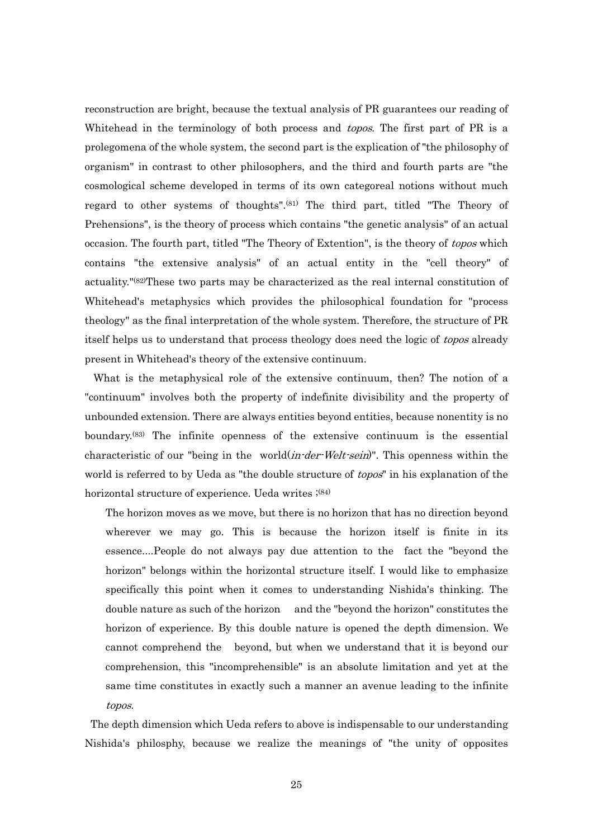reconstruction are bright, because the textual analysis of PR guarantees our reading of Whitehead in the terminology of both process and *topos*. The first part of PR is a prolegomena of the whole system, the second part is the explication of "the philosophy of organism" in contrast to other philosophers, and the third and fourth parts are "the cosmological scheme developed in terms of its own categoreal notions without much regard to other systems of thoughts".(81) The third part, titled "The Theory of Prehensions", is the theory of process which contains "the genetic analysis" of an actual occasion. The fourth part, titled "The Theory of Extention", is the theory of topos which contains "the extensive analysis" of an actual entity in the "cell theory" of actuality."(82)These two parts may be characterized as the real internal constitution of Whitehead's metaphysics which provides the philosophical foundation for "process theology" as the final interpretation of the whole system. Therefore, the structure of PR itself helps us to understand that process theology does need the logic of topos already present in Whitehead's theory of the extensive continuum.

 What is the metaphysical role of the extensive continuum, then? The notion of a "continuum" involves both the property of indefinite divisibility and the property of unbounded extension. There are always entities beyond entities, because nonentity is no boundary.(83) The infinite openness of the extensive continuum is the essential characteristic of our "being in the world(*in-der-Welt-sein*)". This openness within the world is referred to by Ueda as "the double structure of *topos*" in his explanation of the horizontal structure of experience. Ueda writes  $;^{(84)}$ 

The horizon moves as we move, but there is no horizon that has no direction beyond wherever we may go. This is because the horizon itself is finite in its essence....People do not always pay due attention to the fact the "beyond the horizon" belongs within the horizontal structure itself. I would like to emphasize specifically this point when it comes to understanding Nishida's thinking. The double nature as such of the horizon and the "beyond the horizon" constitutes the horizon of experience. By this double nature is opened the depth dimension. We cannot comprehend the beyond, but when we understand that it is beyond our comprehension, this "incomprehensible" is an absolute limitation and yet at the same time constitutes in exactly such a manner an avenue leading to the infinite topos.

 The depth dimension which Ueda refers to above is indispensable to our understanding Nishida's philosphy, because we realize the meanings of "the unity of opposites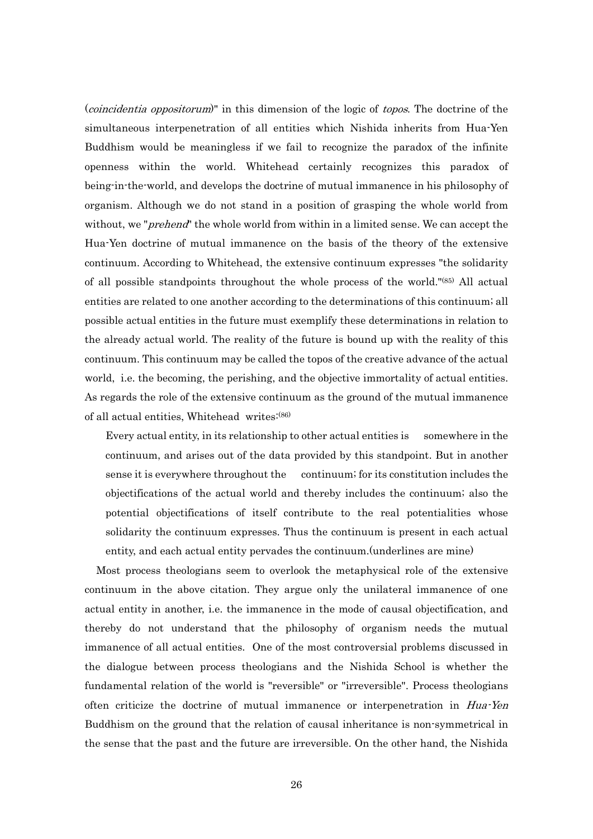(coincidentia oppositorum)" in this dimension of the logic of topos. The doctrine of the simultaneous interpenetration of all entities which Nishida inherits from Hua-Yen Buddhism would be meaningless if we fail to recognize the paradox of the infinite openness within the world. Whitehead certainly recognizes this paradox of being-in-the-world, and develops the doctrine of mutual immanence in his philosophy of organism. Although we do not stand in a position of grasping the whole world from without, we "*prehend*" the whole world from within in a limited sense. We can accept the Hua-Yen doctrine of mutual immanence on the basis of the theory of the extensive continuum. According to Whitehead, the extensive continuum expresses "the solidarity of all possible standpoints throughout the whole process of the world."(85) All actual entities are related to one another according to the determinations of this continuum; all possible actual entities in the future must exemplify these determinations in relation to the already actual world. The reality of the future is bound up with the reality of this continuum. This continuum may be called the topos of the creative advance of the actual world, i.e. the becoming, the perishing, and the objective immortality of actual entities. As regards the role of the extensive continuum as the ground of the mutual immanence of all actual entities, Whitehead writes:(86)

Every actual entity, in its relationship to other actual entities is somewhere in the continuum, and arises out of the data provided by this standpoint. But in another sense it is everywhere throughout the continuum; for its constitution includes the objectifications of the actual world and thereby includes the continuum; also the potential objectifications of itself contribute to the real potentialities whose solidarity the continuum expresses. Thus the continuum is present in each actual entity, and each actual entity pervades the continuum.(underlines are mine)

 Most process theologians seem to overlook the metaphysical role of the extensive continuum in the above citation. They argue only the unilateral immanence of one actual entity in another, i.e. the immanence in the mode of causal objectification, and thereby do not understand that the philosophy of organism needs the mutual immanence of all actual entities. One of the most controversial problems discussed in the dialogue between process theologians and the Nishida School is whether the fundamental relation of the world is "reversible" or "irreversible". Process theologians often criticize the doctrine of mutual immanence or interpenetration in Hua-Yen Buddhism on the ground that the relation of causal inheritance is non-symmetrical in the sense that the past and the future are irreversible. On the other hand, the Nishida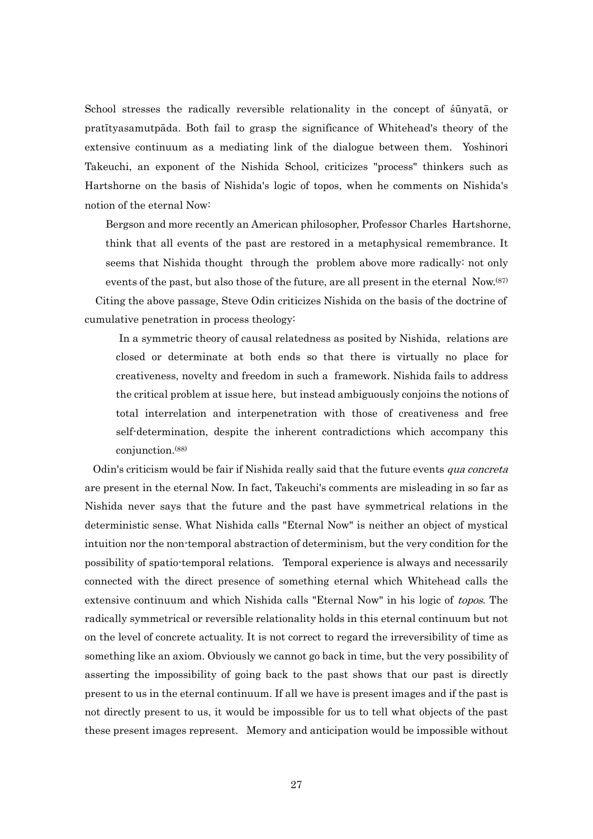School stresses the radically reversible relationality in the concept of śūnyatā, or pratītyasamutpāda. Both fail to grasp the significance of Whitehead's theory of the extensive continuum as a mediating link of the dialogue between them. Yoshinori Takeuchi, an exponent of the Nishida School, criticizes "process" thinkers such as Hartshorne on the basis of Nishida's logic of topos, when he comments on Nishida's notion of the eternal Now:

Bergson and more recently an American philosopher, Professor Charles Hartshorne, think that all events of the past are restored in a metaphysical remembrance. It seems that Nishida thought through the problem above more radically: not only events of the past, but also those of the future, are all present in the eternal  $\text{Now.}^{(87)}$ Citing the above passage, Steve Odin criticizes Nishida on the basis of the doctrine of cumulative penetration in process theology:

 In a symmetric theory of causal relatedness as posited by Nishida, relations are closed or determinate at both ends so that there is virtually no place for creativeness, novelty and freedom in such a framework. Nishida fails to address the critical problem at issue here, but instead ambiguously conjoins the notions of total interrelation and interpenetration with those of creativeness and free self-determination, despite the inherent contradictions which accompany this conjunction.(88)

Odin's criticism would be fair if Nishida really said that the future events *qua concreta* are present in the eternal Now. In fact, Takeuchi's comments are misleading in so far as Nishida never says that the future and the past have symmetrical relations in the deterministic sense. What Nishida calls "Eternal Now" is neither an object of mystical intuition nor the non-temporal abstraction of determinism, but the very condition for the possibility of spatio-temporal relations. Temporal experience is always and necessarily connected with the direct presence of something eternal which Whitehead calls the extensive continuum and which Nishida calls "Eternal Now" in his logic of topos. The radically symmetrical or reversible relationality holds in this eternal continuum but not on the level of concrete actuality. It is not correct to regard the irreversibility of time as something like an axiom. Obviously we cannot go back in time, but the very possibility of asserting the impossibility of going back to the past shows that our past is directly present to us in the eternal continuum. If all we have is present images and if the past is not directly present to us, it would be impossible for us to tell what objects of the past these present images represent. Memory and anticipation would be impossible without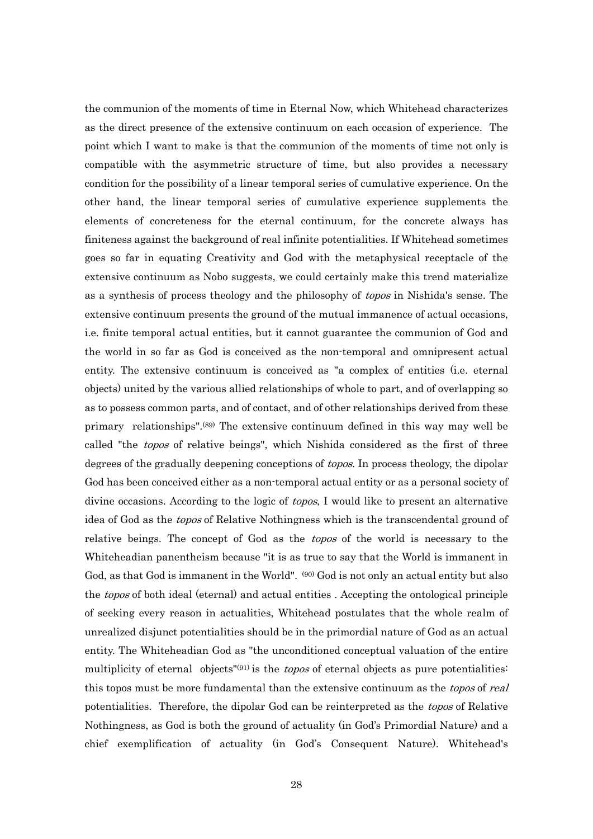the communion of the moments of time in Eternal Now, which Whitehead characterizes as the direct presence of the extensive continuum on each occasion of experience. The point which I want to make is that the communion of the moments of time not only is compatible with the asymmetric structure of time, but also provides a necessary condition for the possibility of a linear temporal series of cumulative experience. On the other hand, the linear temporal series of cumulative experience supplements the elements of concreteness for the eternal continuum, for the concrete always has finiteness against the background of real infinite potentialities. If Whitehead sometimes goes so far in equating Creativity and God with the metaphysical receptacle of the extensive continuum as Nobo suggests, we could certainly make this trend materialize as a synthesis of process theology and the philosophy of *topos* in Nishida's sense. The extensive continuum presents the ground of the mutual immanence of actual occasions, i.e. finite temporal actual entities, but it cannot guarantee the communion of God and the world in so far as God is conceived as the non-temporal and omnipresent actual entity. The extensive continuum is conceived as "a complex of entities (i.e. eternal objects) united by the various allied relationships of whole to part, and of overlapping so as to possess common parts, and of contact, and of other relationships derived from these primary relationships".(89) The extensive continuum defined in this way may well be called "the topos of relative beings", which Nishida considered as the first of three degrees of the gradually deepening conceptions of *topos*. In process theology, the dipolar God has been conceived either as a non-temporal actual entity or as a personal society of divine occasions. According to the logic of *topos*, I would like to present an alternative idea of God as the topos of Relative Nothingness which is the transcendental ground of relative beings. The concept of God as the topos of the world is necessary to the Whiteheadian panentheism because "it is as true to say that the World is immanent in God, as that God is immanent in the World". <sup>(90)</sup> God is not only an actual entity but also the *topos* of both ideal (eternal) and actual entities. Accepting the ontological principle of seeking every reason in actualities, Whitehead postulates that the whole realm of unrealized disjunct potentialities should be in the primordial nature of God as an actual entity. The Whiteheadian God as "the unconditioned conceptual valuation of the entire multiplicity of eternal objects<sup>"(91)</sup> is the *topos* of eternal objects as pure potentialities: this topos must be more fundamental than the extensive continuum as the topos of real potentialities. Therefore, the dipolar God can be reinterpreted as the *topos* of Relative Nothingness, as God is both the ground of actuality (in God's Primordial Nature) and a chief exemplification of actuality (in God's Consequent Nature). Whitehead's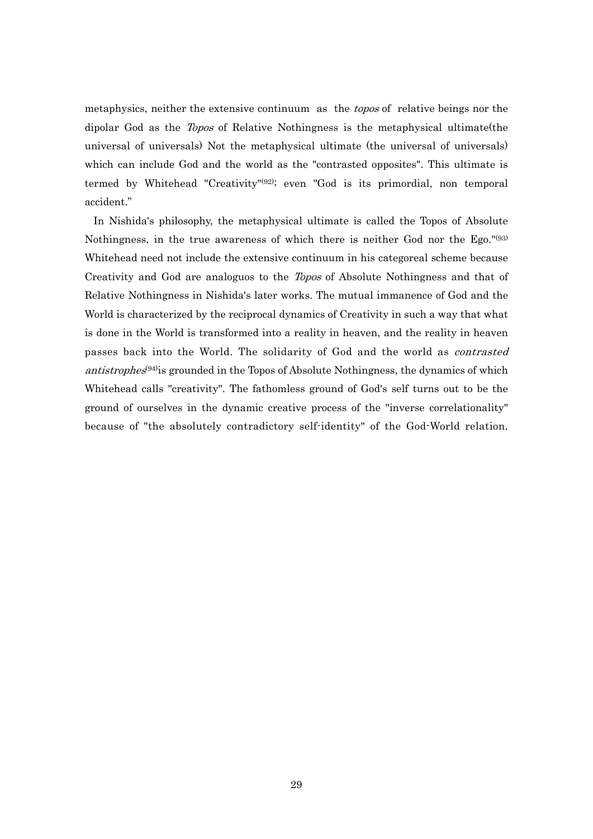metaphysics, neither the extensive continuum as the topos of relative beings nor the dipolar God as the *Topos* of Relative Nothingness is the metaphysical ultimate (the universal of universals) Not the metaphysical ultimate (the universal of universals) which can include God and the world as the "contrasted opposites". This ultimate is termed by Whitehead "Creativity"(92); even "God is its primordial, non temporal accident."

 In Nishida's philosophy, the metaphysical ultimate is called the Topos of Absolute Nothingness, in the true awareness of which there is neither God nor the Ego."(93) Whitehead need not include the extensive continuum in his categoreal scheme because Creativity and God are analoguos to the Topos of Absolute Nothingness and that of Relative Nothingness in Nishida's later works. The mutual immanence of God and the World is characterized by the reciprocal dynamics of Creativity in such a way that what is done in the World is transformed into a reality in heaven, and the reality in heaven passes back into the World. The solidarity of God and the world as contrasted antistrophes<sup>(94)</sup> is grounded in the Topos of Absolute Nothingness, the dynamics of which Whitehead calls "creativity". The fathomless ground of God's self turns out to be the ground of ourselves in the dynamic creative process of the "inverse correlationality" because of "the absolutely contradictory self-identity" of the God-World relation.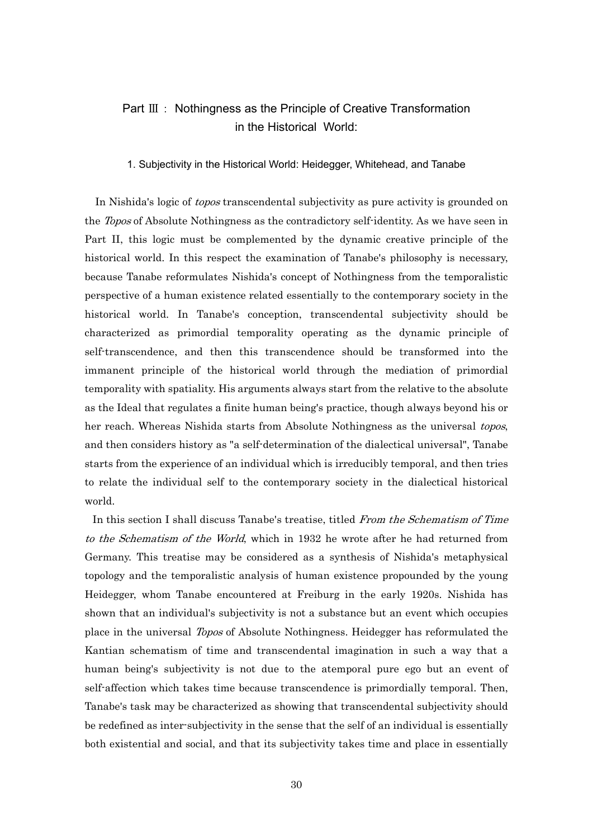## Part Ⅲ: Nothingness as the Principle of Creative Transformation in the Historical World:

#### 1. Subjectivity in the Historical World: Heidegger, Whitehead, and Tanabe

In Nishida's logic of *topos* transcendental subjectivity as pure activity is grounded on the *Topos* of Absolute Nothingness as the contradictory self-identity. As we have seen in Part II, this logic must be complemented by the dynamic creative principle of the historical world. In this respect the examination of Tanabe's philosophy is necessary, because Tanabe reformulates Nishida's concept of Nothingness from the temporalistic perspective of a human existence related essentially to the contemporary society in the historical world. In Tanabe's conception, transcendental subjectivity should be characterized as primordial temporality operating as the dynamic principle of self-transcendence, and then this transcendence should be transformed into the immanent principle of the historical world through the mediation of primordial temporality with spatiality. His arguments always start from the relative to the absolute as the Ideal that regulates a finite human being's practice, though always beyond his or her reach. Whereas Nishida starts from Absolute Nothingness as the universal topos, and then considers history as "a self-determination of the dialectical universal", Tanabe starts from the experience of an individual which is irreducibly temporal, and then tries to relate the individual self to the contemporary society in the dialectical historical world.

In this section I shall discuss Tanabe's treatise, titled From the Schematism of Time to the Schematism of the World, which in 1932 he wrote after he had returned from Germany. This treatise may be considered as a synthesis of Nishida's metaphysical topology and the temporalistic analysis of human existence propounded by the young Heidegger, whom Tanabe encountered at Freiburg in the early 1920s. Nishida has shown that an individual's subjectivity is not a substance but an event which occupies place in the universal Topos of Absolute Nothingness. Heidegger has reformulated the Kantian schematism of time and transcendental imagination in such a way that a human being's subjectivity is not due to the atemporal pure ego but an event of self-affection which takes time because transcendence is primordially temporal. Then, Tanabe's task may be characterized as showing that transcendental subjectivity should be redefined as inter-subjectivity in the sense that the self of an individual is essentially both existential and social, and that its subjectivity takes time and place in essentially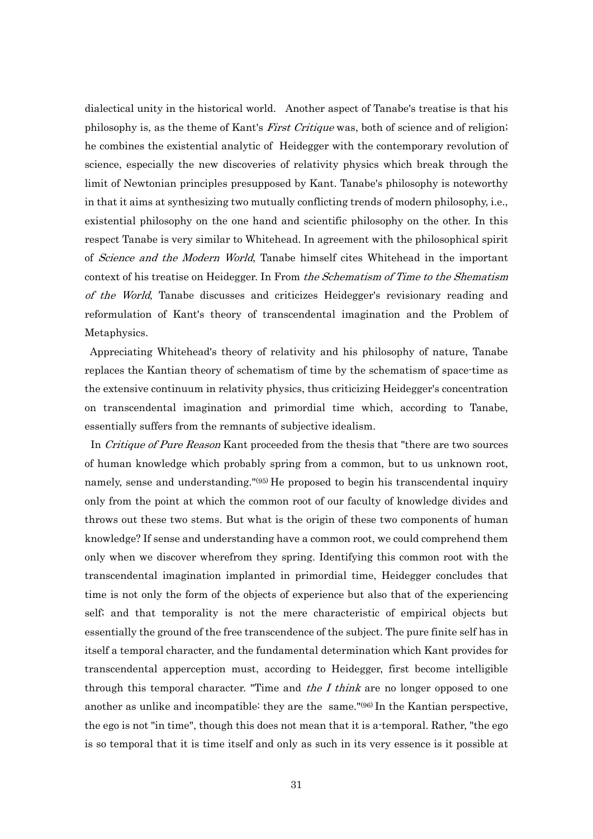dialectical unity in the historical world. Another aspect of Tanabe's treatise is that his philosophy is, as the theme of Kant's *First Critique* was, both of science and of religion; he combines the existential analytic of Heidegger with the contemporary revolution of science, especially the new discoveries of relativity physics which break through the limit of Newtonian principles presupposed by Kant. Tanabe's philosophy is noteworthy in that it aims at synthesizing two mutually conflicting trends of modern philosophy, i.e., existential philosophy on the one hand and scientific philosophy on the other. In this respect Tanabe is very similar to Whitehead. In agreement with the philosophical spirit of Science and the Modern World, Tanabe himself cites Whitehead in the important context of his treatise on Heidegger. In From the Schematism of Time to the Shematism of the World, Tanabe discusses and criticizes Heidegger's revisionary reading and reformulation of Kant's theory of transcendental imagination and the Problem of Metaphysics.

 Appreciating Whitehead's theory of relativity and his philosophy of nature, Tanabe replaces the Kantian theory of schematism of time by the schematism of space-time as the extensive continuum in relativity physics, thus criticizing Heidegger's concentration on transcendental imagination and primordial time which, according to Tanabe, essentially suffers from the remnants of subjective idealism.

In *Critique of Pure Reason* Kant proceeded from the thesis that "there are two sources" of human knowledge which probably spring from a common, but to us unknown root, namely, sense and understanding."<sup>(95)</sup> He proposed to begin his transcendental inquiry only from the point at which the common root of our faculty of knowledge divides and throws out these two stems. But what is the origin of these two components of human knowledge? If sense and understanding have a common root, we could comprehend them only when we discover wherefrom they spring. Identifying this common root with the transcendental imagination implanted in primordial time, Heidegger concludes that time is not only the form of the objects of experience but also that of the experiencing self; and that temporality is not the mere characteristic of empirical objects but essentially the ground of the free transcendence of the subject. The pure finite self has in itself a temporal character, and the fundamental determination which Kant provides for transcendental apperception must, according to Heidegger, first become intelligible through this temporal character. "Time and the I think are no longer opposed to one another as unlike and incompatible: they are the same."(96) In the Kantian perspective, the ego is not "in time", though this does not mean that it is a-temporal. Rather, "the ego is so temporal that it is time itself and only as such in its very essence is it possible at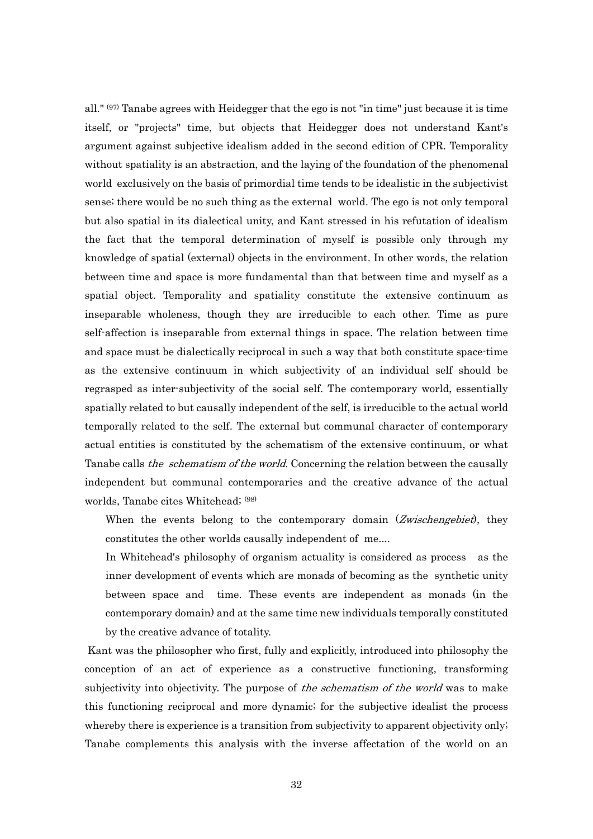all."  $(97)$  Tanabe agrees with Heidegger that the ego is not "in time" just because it is time itself, or "projects" time, but objects that Heidegger does not understand Kant's argument against subjective idealism added in the second edition of CPR. Temporality without spatiality is an abstraction, and the laying of the foundation of the phenomenal world exclusively on the basis of primordial time tends to be idealistic in the subjectivist sense; there would be no such thing as the external world. The ego is not only temporal but also spatial in its dialectical unity, and Kant stressed in his refutation of idealism the fact that the temporal determination of myself is possible only through my knowledge of spatial (external) objects in the environment. In other words, the relation between time and space is more fundamental than that between time and myself as a spatial object. Temporality and spatiality constitute the extensive continuum as inseparable wholeness, though they are irreducible to each other. Time as pure self-affection is inseparable from external things in space. The relation between time and space must be dialectically reciprocal in such a way that both constitute space-time as the extensive continuum in which subjectivity of an individual self should be regrasped as inter-subjectivity of the social self. The contemporary world, essentially spatially related to but causally independent of the self, is irreducible to the actual world temporally related to the self. The external but communal character of contemporary actual entities is constituted by the schematism of the extensive continuum, or what Tanabe calls *the schematism of the world*. Concerning the relation between the causally independent but communal contemporaries and the creative advance of the actual worlds, Tanabe cites Whitehead; (98)

When the events belong to the contemporary domain (Zwischengebiet), they constitutes the other worlds causally independent of me....

In Whitehead's philosophy of organism actuality is considered as process as the inner development of events which are monads of becoming as the synthetic unity between space and time. These events are independent as monads (in the contemporary domain) and at the same time new individuals temporally constituted by the creative advance of totality.

 Kant was the philosopher who first, fully and explicitly, introduced into philosophy the conception of an act of experience as a constructive functioning, transforming subjectivity into objectivity. The purpose of *the schematism of the world* was to make this functioning reciprocal and more dynamic; for the subjective idealist the process whereby there is experience is a transition from subjectivity to apparent objectivity only; Tanabe complements this analysis with the inverse affectation of the world on an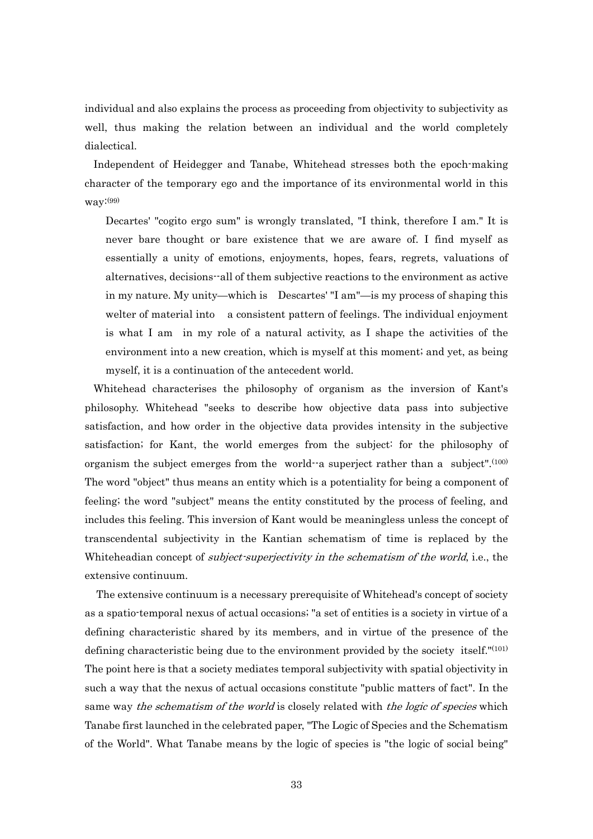individual and also explains the process as proceeding from objectivity to subjectivity as well, thus making the relation between an individual and the world completely dialectical.

 Independent of Heidegger and Tanabe, Whitehead stresses both the epoch-making character of the temporary ego and the importance of its environmental world in this way:(99)

Decartes' "cogito ergo sum" is wrongly translated, "I think, therefore I am." It is never bare thought or bare existence that we are aware of. I find myself as essentially a unity of emotions, enjoyments, hopes, fears, regrets, valuations of alternatives, decisions--all of them subjective reactions to the environment as active in my nature. My unity—which is Descartes' "I am"—is my process of shaping this welter of material into a consistent pattern of feelings. The individual enjoyment is what I am in my role of a natural activity, as I shape the activities of the environment into a new creation, which is myself at this moment; and yet, as being myself, it is a continuation of the antecedent world.

 Whitehead characterises the philosophy of organism as the inversion of Kant's philosophy. Whitehead "seeks to describe how objective data pass into subjective satisfaction, and how order in the objective data provides intensity in the subjective satisfaction; for Kant, the world emerges from the subject: for the philosophy of organism the subject emerges from the world--a superject rather than a subject".(100) The word "object" thus means an entity which is a potentiality for being a component of feeling; the word "subject" means the entity constituted by the process of feeling, and includes this feeling. This inversion of Kant would be meaningless unless the concept of transcendental subjectivity in the Kantian schematism of time is replaced by the Whiteheadian concept of *subject-superjectivity in the schematism of the world*, i.e., the extensive continuum.

 The extensive continuum is a necessary prerequisite of Whitehead's concept of society as a spatio-temporal nexus of actual occasions; "a set of entities is a society in virtue of a defining characteristic shared by its members, and in virtue of the presence of the defining characteristic being due to the environment provided by the society itself."(101) The point here is that a society mediates temporal subjectivity with spatial objectivity in such a way that the nexus of actual occasions constitute "public matters of fact". In the same way the schematism of the world is closely related with the logic of species which Tanabe first launched in the celebrated paper, "The Logic of Species and the Schematism of the World". What Tanabe means by the logic of species is "the logic of social being"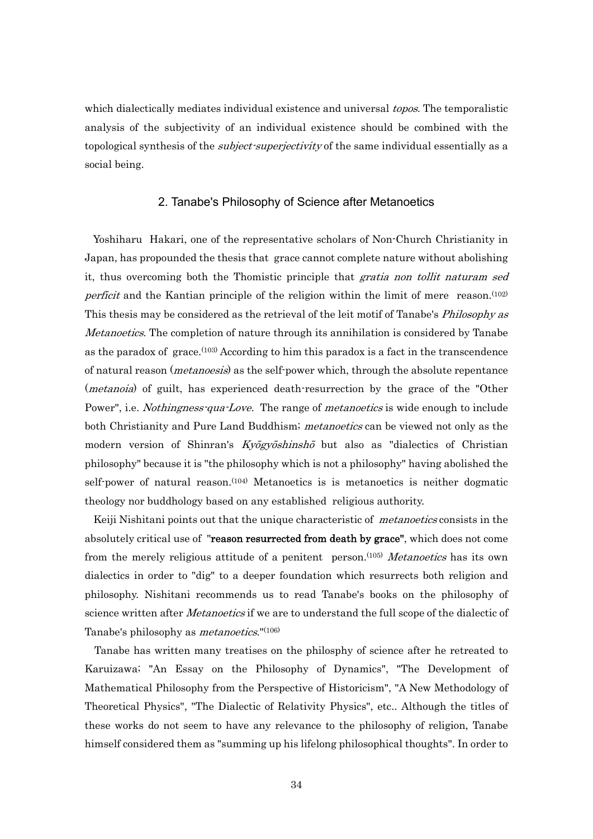which dialectically mediates individual existence and universal *topos*. The temporalistic analysis of the subjectivity of an individual existence should be combined with the topological synthesis of the *subject-superjectivity* of the same individual essentially as a social being.

### 2. Tanabe's Philosophy of Science after Metanoetics

 Yoshiharu Hakari, one of the representative scholars of Non-Church Christianity in Japan, has propounded the thesis that grace cannot complete nature without abolishing it, thus overcoming both the Thomistic principle that *gratia non tollit naturam sed perficit* and the Kantian principle of the religion within the limit of mere reason.<sup>(102)</sup> This thesis may be considered as the retrieval of the leit motif of Tanabe's *Philosophy as* Metanoetics. The completion of nature through its annihilation is considered by Tanabe as the paradox of grace.(103) According to him this paradox is a fact in the transcendence of natural reason (*metanoesis*) as the self-power which, through the absolute repentance (*metanoia*) of guilt, has experienced death-resurrection by the grace of the "Other Power", i.e. *Nothingness-qua-Love.* The range of *metanoetics* is wide enough to include both Christianity and Pure Land Buddhism; *metanoetics* can be viewed not only as the modern version of Shinran's *Kyōgyōshinshō* but also as "dialectics of Christian philosophy" because it is "the philosophy which is not a philosophy" having abolished the self-power of natural reason.<sup>(104)</sup> Metanoetics is is metanoetics is neither dogmatic theology nor buddhology based on any established religious authority.

Keiji Nishitani points out that the unique characteristic of *metanoetics* consists in the absolutely critical use of "reason resurrected from death by grace", which does not come from the merely religious attitude of a penitent person.<sup>(105)</sup> Metanoetics has its own dialectics in order to "dig" to a deeper foundation which resurrects both religion and philosophy. Nishitani recommends us to read Tanabe's books on the philosophy of science written after *Metanoetics* if we are to understand the full scope of the dialectic of Tanabe's philosophy as *metanoetics*."<sup>(106)</sup>

 Tanabe has written many treatises on the philosphy of science after he retreated to Karuizawa; "An Essay on the Philosophy of Dynamics", "The Development of Mathematical Philosophy from the Perspective of Historicism", "A New Methodology of Theoretical Physics", "The Dialectic of Relativity Physics", etc.. Although the titles of these works do not seem to have any relevance to the philosophy of religion, Tanabe himself considered them as "summing up his lifelong philosophical thoughts". In order to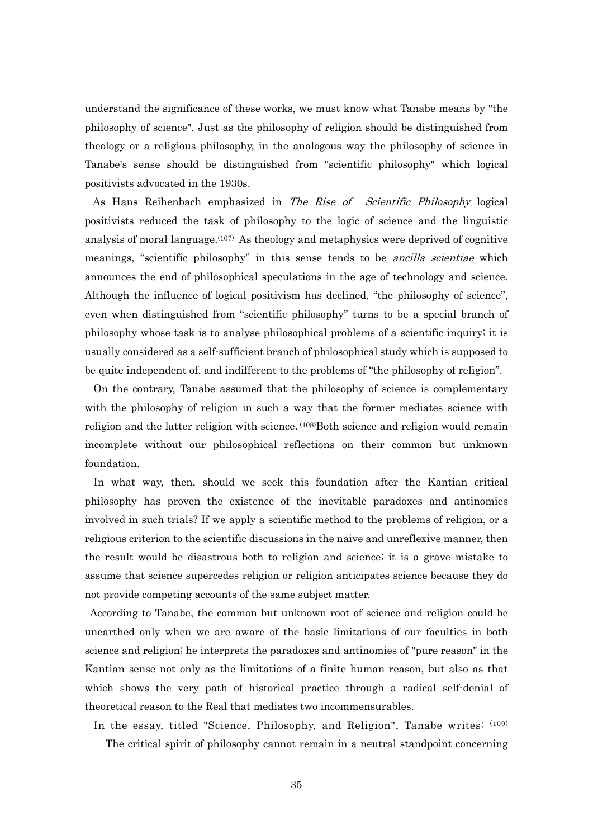understand the significance of these works, we must know what Tanabe means by "the philosophy of science". Just as the philosophy of religion should be distinguished from theology or a religious philosophy, in the analogous way the philosophy of science in Tanabe's sense should be distinguished from "scientific philosophy" which logical positivists advocated in the 1930s.

 As Hans Reihenbach emphasized in The Rise of Scientific Philosophy logical positivists reduced the task of philosophy to the logic of science and the linguistic analysis of moral language.<sup> $(107)$ </sup> As theology and metaphysics were deprived of cognitive meanings, "scientific philosophy" in this sense tends to be *ancilla scientiae* which announces the end of philosophical speculations in the age of technology and science. Although the influence of logical positivism has declined, "the philosophy of science", even when distinguished from "scientific philosophy" turns to be a special branch of philosophy whose task is to analyse philosophical problems of a scientific inquiry; it is usually considered as a self-sufficient branch of philosophical study which is supposed to be quite independent of, and indifferent to the problems of "the philosophy of religion".

 On the contrary, Tanabe assumed that the philosophy of science is complementary with the philosophy of religion in such a way that the former mediates science with religion and the latter religion with science. (108)Both science and religion would remain incomplete without our philosophical reflections on their common but unknown foundation.

 In what way, then, should we seek this foundation after the Kantian critical philosophy has proven the existence of the inevitable paradoxes and antinomies involved in such trials? If we apply a scientific method to the problems of religion, or a religious criterion to the scientific discussions in the naive and unreflexive manner, then the result would be disastrous both to religion and science; it is a grave mistake to assume that science supercedes religion or religion anticipates science because they do not provide competing accounts of the same subject matter.

 According to Tanabe, the common but unknown root of science and religion could be unearthed only when we are aware of the basic limitations of our faculties in both science and religion; he interprets the paradoxes and antinomies of "pure reason" in the Kantian sense not only as the limitations of a finite human reason, but also as that which shows the very path of historical practice through a radical self-denial of theoretical reason to the Real that mediates two incommensurables.

 In the essay, titled "Science, Philosophy, and Religion", Tanabe writes: (109) The critical spirit of philosophy cannot remain in a neutral standpoint concerning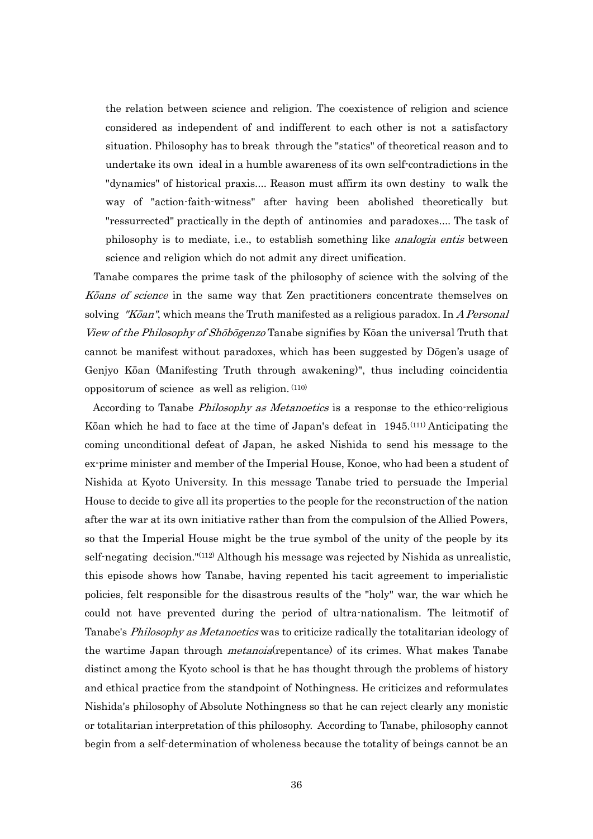the relation between science and religion. The coexistence of religion and science considered as independent of and indifferent to each other is not a satisfactory situation. Philosophy has to break through the "statics" of theoretical reason and to undertake its own ideal in a humble awareness of its own self-contradictions in the "dynamics" of historical praxis.... Reason must affirm its own destiny to walk the way of "action-faith-witness" after having been abolished theoretically but "ressurrected" practically in the depth of antinomies and paradoxes.... The task of philosophy is to mediate, i.e., to establish something like analogia entis between science and religion which do not admit any direct unification.

 Tanabe compares the prime task of the philosophy of science with the solving of the Kōans of science in the same way that Zen practitioners concentrate themselves on solving "Kōan", which means the Truth manifested as a religious paradox. In A Personal View of the Philosophy of Shōbōgenzo Tanabe signifies by Kōan the universal Truth that cannot be manifest without paradoxes, which has been suggested by Dōgen's usage of Genjyo Kōan (Manifesting Truth through awakening)", thus including coincidentia oppositorum of science as well as religion. (110)

According to Tanabe *Philosophy as Metanoetics* is a response to the ethico-religious Kōan which he had to face at the time of Japan's defeat in 1945.(111) Anticipating the coming unconditional defeat of Japan, he asked Nishida to send his message to the ex-prime minister and member of the Imperial House, Konoe, who had been a student of Nishida at Kyoto University. In this message Tanabe tried to persuade the Imperial House to decide to give all its properties to the people for the reconstruction of the nation after the war at its own initiative rather than from the compulsion of the Allied Powers, so that the Imperial House might be the true symbol of the unity of the people by its self-negating decision."(112) Although his message was rejected by Nishida as unrealistic, this episode shows how Tanabe, having repented his tacit agreement to imperialistic policies, felt responsible for the disastrous results of the "holy" war, the war which he could not have prevented during the period of ultra-nationalism. The leitmotif of Tanabe's *Philosophy as Metanoetics* was to criticize radically the totalitarian ideology of the wartime Japan through *metanoia*(repentance) of its crimes. What makes Tanabe distinct among the Kyoto school is that he has thought through the problems of history and ethical practice from the standpoint of Nothingness. He criticizes and reformulates Nishida's philosophy of Absolute Nothingness so that he can reject clearly any monistic or totalitarian interpretation of this philosophy. According to Tanabe, philosophy cannot begin from a self-determination of wholeness because the totality of beings cannot be an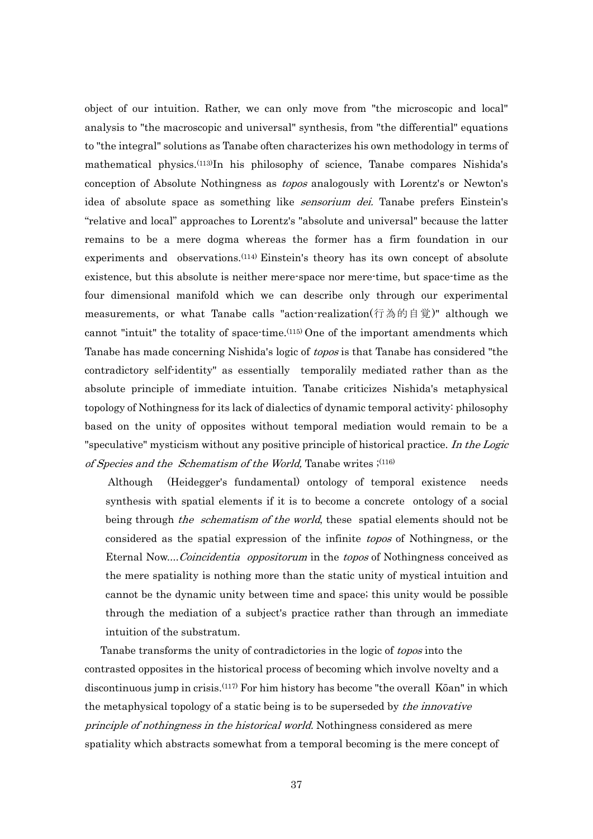object of our intuition. Rather, we can only move from "the microscopic and local" analysis to "the macroscopic and universal" synthesis, from "the differential" equations to "the integral" solutions as Tanabe often characterizes his own methodology in terms of mathematical physics.(113)In his philosophy of science, Tanabe compares Nishida's conception of Absolute Nothingness as topos analogously with Lorentz's or Newton's idea of absolute space as something like *sensorium dei*. Tanabe prefers Einstein's "relative and local" approaches to Lorentz's "absolute and universal" because the latter remains to be a mere dogma whereas the former has a firm foundation in our experiments and observations.<sup>(114)</sup> Einstein's theory has its own concept of absolute existence, but this absolute is neither mere-space nor mere-time, but space-time as the four dimensional manifold which we can describe only through our experimental measurements, or what Tanabe calls "action-realization(行為的自覚)" although we cannot "intuit" the totality of space-time.(115) One of the important amendments which Tanabe has made concerning Nishida's logic of topos is that Tanabe has considered "the contradictory self-identity" as essentially temporalily mediated rather than as the absolute principle of immediate intuition. Tanabe criticizes Nishida's metaphysical topology of Nothingness for its lack of dialectics of dynamic temporal activity: philosophy based on the unity of opposites without temporal mediation would remain to be a "speculative" mysticism without any positive principle of historical practice. In the Logic of Species and the Schematism of the World, Tanabe writes  $;$ <sup>(116)</sup>

 Although (Heidegger's fundamental) ontology of temporal existence needs synthesis with spatial elements if it is to become a concrete ontology of a social being through *the schematism of the world*, these spatial elements should not be considered as the spatial expression of the infinite topos of Nothingness, or the Eternal Now....Coincidentia oppositorum in the topos of Nothingness conceived as the mere spatiality is nothing more than the static unity of mystical intuition and cannot be the dynamic unity between time and space; this unity would be possible through the mediation of a subject's practice rather than through an immediate intuition of the substratum.

Tanabe transforms the unity of contradictories in the logic of topos into the contrasted opposites in the historical process of becoming which involve novelty and a discontinuous jump in crisis.(117) For him history has become "the overall Kōan" in which the metaphysical topology of a static being is to be superseded by *the innovative* principle of nothingness in the historical world. Nothingness considered as mere spatiality which abstracts somewhat from a temporal becoming is the mere concept of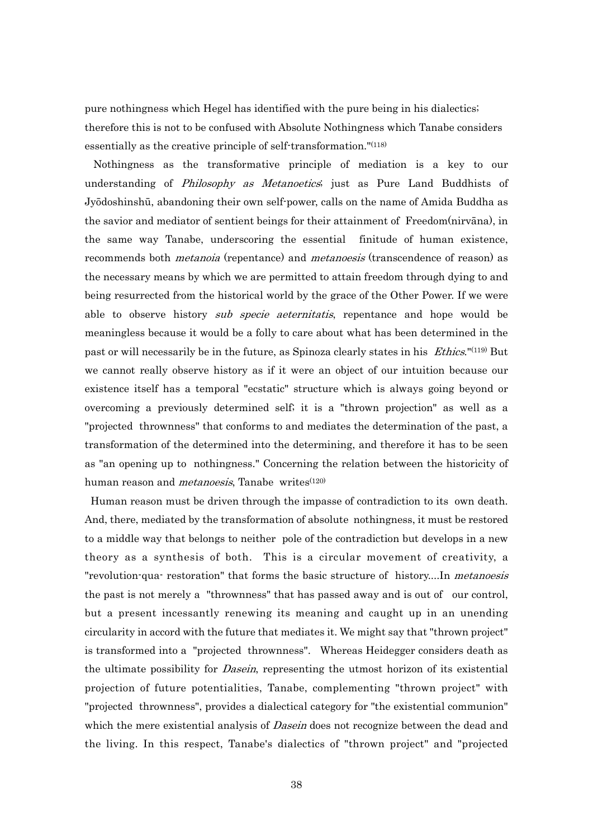pure nothingness which Hegel has identified with the pure being in his dialectics; therefore this is not to be confused with Absolute Nothingness which Tanabe considers essentially as the creative principle of self-transformation."(118)

 Nothingness as the transformative principle of mediation is a key to our understanding of Philosophy as Metanoetics; just as Pure Land Buddhists of Jyōdoshinshū, abandoning their own self-power, calls on the name of Amida Buddha as the savior and mediator of sentient beings for their attainment of Freedom(nirvāna), in the same way Tanabe, underscoring the essential finitude of human existence, recommends both *metanoia* (repentance) and *metanoesis* (transcendence of reason) as the necessary means by which we are permitted to attain freedom through dying to and being resurrected from the historical world by the grace of the Other Power. If we were able to observe history *sub specie aeternitatis*, repentance and hope would be meaningless because it would be a folly to care about what has been determined in the past or will necessarily be in the future, as Spinoza clearly states in his *Ethics*."<sup>(119)</sup> But we cannot really observe history as if it were an object of our intuition because our existence itself has a temporal "ecstatic" structure which is always going beyond or overcoming a previously determined self; it is a "thrown projection" as well as a "projected thrownness" that conforms to and mediates the determination of the past, a transformation of the determined into the determining, and therefore it has to be seen as "an opening up to nothingness." Concerning the relation between the historicity of human reason and *metanoesis*, Tanabe writes<sup>(120)</sup>

 Human reason must be driven through the impasse of contradiction to its own death. And, there, mediated by the transformation of absolute nothingness, it must be restored to a middle way that belongs to neither pole of the contradiction but develops in a new theory as a synthesis of both. This is a circular movement of creativity, a "revolution-qua- restoration" that forms the basic structure of history....In metanoesis the past is not merely a "thrownness" that has passed away and is out of our control, but a present incessantly renewing its meaning and caught up in an unending circularity in accord with the future that mediates it. We might say that "thrown project" is transformed into a "projected thrownness". Whereas Heidegger considers death as the ultimate possibility for *Dasein*, representing the utmost horizon of its existential projection of future potentialities, Tanabe, complementing "thrown project" with "projected thrownness", provides a dialectical category for "the existential communion" which the mere existential analysis of *Dasein* does not recognize between the dead and the living. In this respect, Tanabe's dialectics of "thrown project" and "projected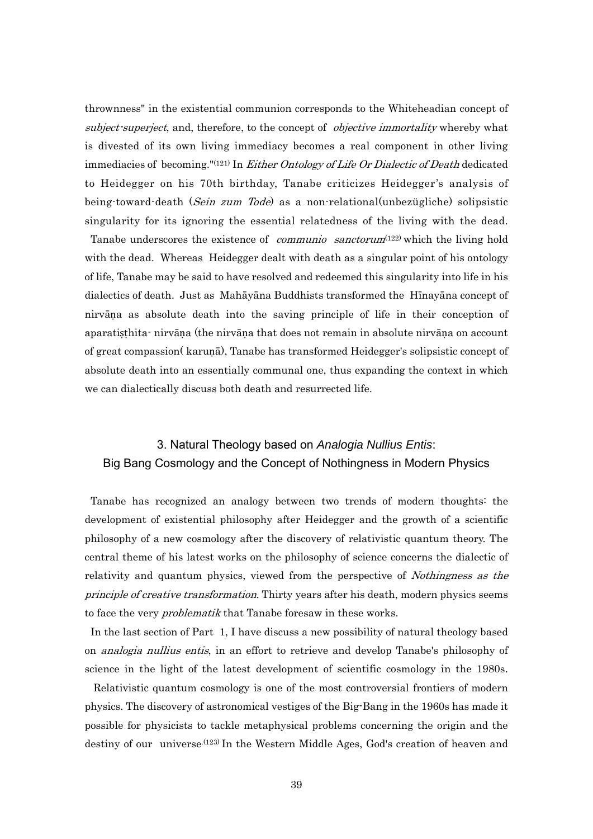thrownness" in the existential communion corresponds to the Whiteheadian concept of subject-superject, and, therefore, to the concept of *objective immortality* whereby what is divested of its own living immediacy becomes a real component in other living immediacies of becoming." $(121)$  In *Either Ontology of Life Or Dialectic of Death* dedicated to Heidegger on his 70th birthday, Tanabe criticizes Heidegger's analysis of being-toward-death (Sein zum Tode) as a non-relational(unbezügliche) solipsistic singularity for its ignoring the essential relatedness of the living with the dead.

Tanabe underscores the existence of *communio sanctorum*<sup>(122)</sup> which the living hold with the dead. Whereas Heidegger dealt with death as a singular point of his ontology of life, Tanabe may be said to have resolved and redeemed this singularity into life in his dialectics of death. Just as Mahāyāna Buddhists transformed the Hīnayāna concept of nirvāṇa as absolute death into the saving principle of life in their conception of aparatiṣṭhita- nirvāṇa (the nirvāṇa that does not remain in absolute nirvāṇa on account of great compassion( karuṇā), Tanabe has transformed Heidegger's solipsistic concept of absolute death into an essentially communal one, thus expanding the context in which we can dialectically discuss both death and resurrected life.

## 3. Natural Theology based on *Analogia Nullius Entis*: Big Bang Cosmology and the Concept of Nothingness in Modern Physics

 Tanabe has recognized an analogy between two trends of modern thoughts: the development of existential philosophy after Heidegger and the growth of a scientific philosophy of a new cosmology after the discovery of relativistic quantum theory. The central theme of his latest works on the philosophy of science concerns the dialectic of relativity and quantum physics, viewed from the perspective of *Nothingness as the* principle of creative transformation. Thirty years after his death, modern physics seems to face the very *problematik* that Tanabe foresaw in these works.

 In the last section of Part 1, I have discuss a new possibility of natural theology based on analogia nullius entis, in an effort to retrieve and develop Tanabe's philosophy of science in the light of the latest development of scientific cosmology in the 1980s.

 Relativistic quantum cosmology is one of the most controversial frontiers of modern physics. The discovery of astronomical vestiges of the Big-Bang in the 1960s has made it possible for physicists to tackle metaphysical problems concerning the origin and the destiny of our universe.<sup>(123)</sup> In the Western Middle Ages, God's creation of heaven and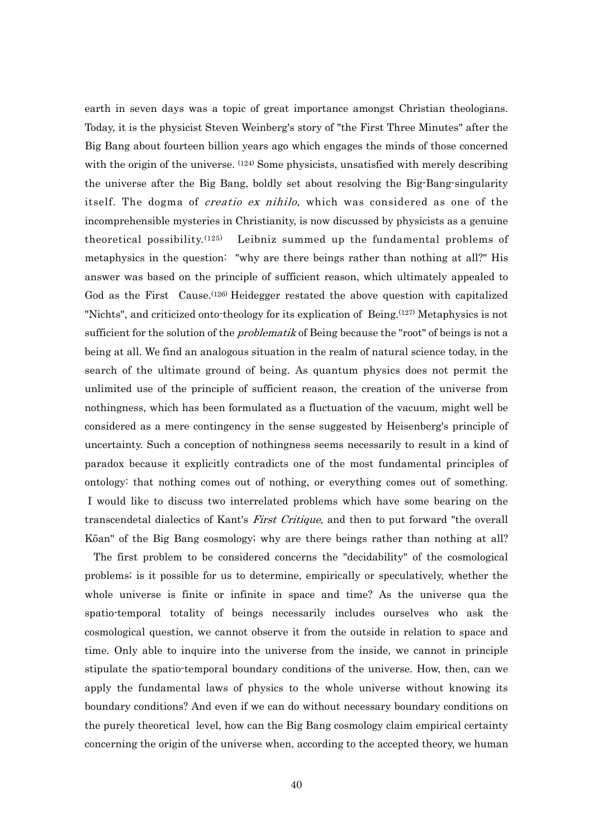earth in seven days was a topic of great importance amongst Christian theologians. Today, it is the physicist Steven Weinberg's story of "the First Three Minutes" after the Big Bang about fourteen billion years ago which engages the minds of those concerned with the origin of the universe.  $(124)$  Some physicists, unsatisfied with merely describing the universe after the Big Bang, boldly set about resolving the Big-Bang-singularity itself. The dogma of *creatio ex nihilo*, which was considered as one of the incomprehensible mysteries in Christianity, is now discussed by physicists as a genuine theoretical possibility.<sup>(125)</sup> Leibniz summed up the fundamental problems of metaphysics in the question: "why are there beings rather than nothing at all?" His answer was based on the principle of sufficient reason, which ultimately appealed to God as the First Cause.(126) Heidegger restated the above question with capitalized "Nichts", and criticized onto-theology for its explication of Being.(127) Metaphysics is not sufficient for the solution of the *problematik* of Being because the "root" of beings is not a being at all. We find an analogous situation in the realm of natural science today, in the search of the ultimate ground of being. As quantum physics does not permit the unlimited use of the principle of sufficient reason, the creation of the universe from nothingness, which has been formulated as a fluctuation of the vacuum, might well be considered as a mere contingency in the sense suggested by Heisenberg's principle of uncertainty. Such a conception of nothingness seems necessarily to result in a kind of paradox because it explicitly contradicts one of the most fundamental principles of ontology: that nothing comes out of nothing, or everything comes out of something. I would like to discuss two interrelated problems which have some bearing on the transcendetal dialectics of Kant's *First Critique*, and then to put forward "the overall Kōan" of the Big Bang cosmology; why are there beings rather than nothing at all?

 The first problem to be considered concerns the "decidability" of the cosmological problems; is it possible for us to determine, empirically or speculatively, whether the whole universe is finite or infinite in space and time? As the universe qua the spatio-temporal totality of beings necessarily includes ourselves who ask the cosmological question, we cannot observe it from the outside in relation to space and time. Only able to inquire into the universe from the inside, we cannot in principle stipulate the spatio-temporal boundary conditions of the universe. How, then, can we apply the fundamental laws of physics to the whole universe without knowing its boundary conditions? And even if we can do without necessary boundary conditions on the purely theoretical level, how can the Big Bang cosmology claim empirical certainty concerning the origin of the universe when, according to the accepted theory, we human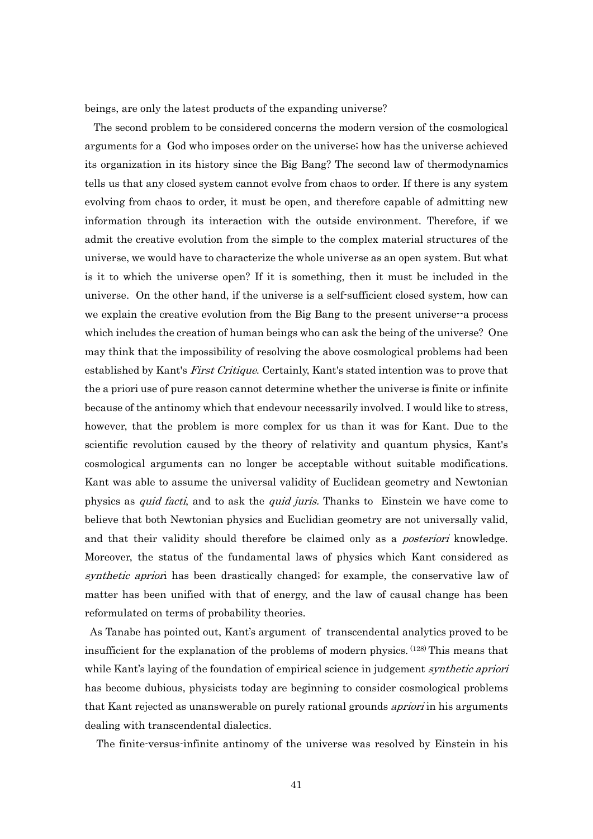beings, are only the latest products of the expanding universe?

 The second problem to be considered concerns the modern version of the cosmological arguments for a God who imposes order on the universe; how has the universe achieved its organization in its history since the Big Bang? The second law of thermodynamics tells us that any closed system cannot evolve from chaos to order. If there is any system evolving from chaos to order, it must be open, and therefore capable of admitting new information through its interaction with the outside environment. Therefore, if we admit the creative evolution from the simple to the complex material structures of the universe, we would have to characterize the whole universe as an open system. But what is it to which the universe open? If it is something, then it must be included in the universe. On the other hand, if the universe is a self-sufficient closed system, how can we explain the creative evolution from the Big Bang to the present universe--a process which includes the creation of human beings who can ask the being of the universe? One may think that the impossibility of resolving the above cosmological problems had been established by Kant's *First Critique*. Certainly, Kant's stated intention was to prove that the a priori use of pure reason cannot determine whether the universe is finite or infinite because of the antinomy which that endevour necessarily involved. I would like to stress, however, that the problem is more complex for us than it was for Kant. Due to the scientific revolution caused by the theory of relativity and quantum physics, Kant's cosmological arguments can no longer be acceptable without suitable modifications. Kant was able to assume the universal validity of Euclidean geometry and Newtonian physics as *quid facti*, and to ask the *quid juris*. Thanks to Einstein we have come to believe that both Newtonian physics and Euclidian geometry are not universally valid, and that their validity should therefore be claimed only as a *posteriori* knowledge. Moreover, the status of the fundamental laws of physics which Kant considered as synthetic apriori has been drastically changed; for example, the conservative law of matter has been unified with that of energy, and the law of causal change has been reformulated on terms of probability theories.

 As Tanabe has pointed out, Kant's argument of transcendental analytics proved to be insufficient for the explanation of the problems of modern physics. (128) This means that while Kant's laying of the foundation of empirical science in judgement *synthetic apriori* has become dubious, physicists today are beginning to consider cosmological problems that Kant rejected as unanswerable on purely rational grounds *apriori* in his arguments dealing with transcendental dialectics.

The finite-versus-infinite antinomy of the universe was resolved by Einstein in his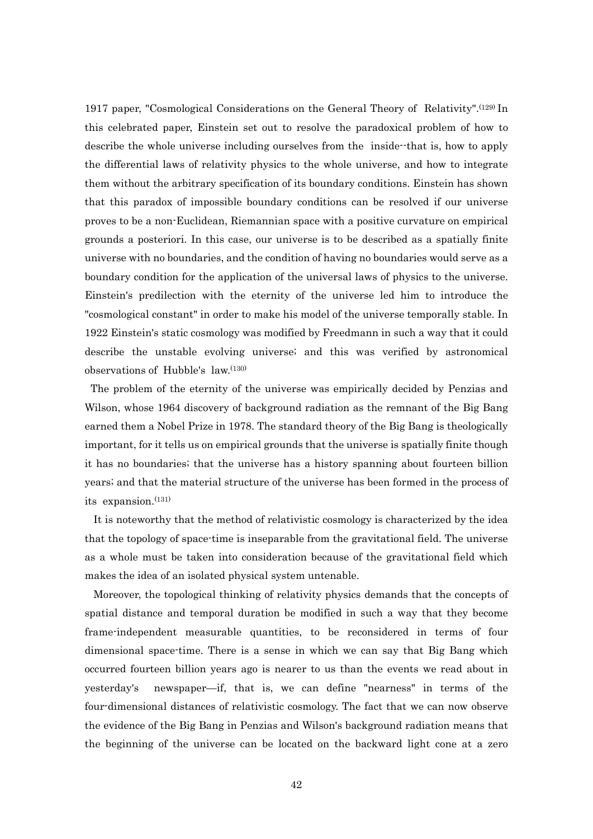1917 paper, "Cosmological Considerations on the General Theory of Relativity".(129) In this celebrated paper, Einstein set out to resolve the paradoxical problem of how to describe the whole universe including ourselves from the inside--that is, how to apply the differential laws of relativity physics to the whole universe, and how to integrate them without the arbitrary specification of its boundary conditions. Einstein has shown that this paradox of impossible boundary conditions can be resolved if our universe proves to be a non-Euclidean, Riemannian space with a positive curvature on empirical grounds a posteriori. In this case, our universe is to be described as a spatially finite universe with no boundaries, and the condition of having no boundaries would serve as a boundary condition for the application of the universal laws of physics to the universe. Einstein's predilection with the eternity of the universe led him to introduce the "cosmological constant" in order to make his model of the universe temporally stable. In 1922 Einstein's static cosmology was modified by Freedmann in such a way that it could describe the unstable evolving universe; and this was verified by astronomical observations of Hubble's law.(130)

 The problem of the eternity of the universe was empirically decided by Penzias and Wilson, whose 1964 discovery of background radiation as the remnant of the Big Bang earned them a Nobel Prize in 1978. The standard theory of the Big Bang is theologically important, for it tells us on empirical grounds that the universe is spatially finite though it has no boundaries; that the universe has a history spanning about fourteen billion years; and that the material structure of the universe has been formed in the process of its expansion.<sup>(131)</sup>

 It is noteworthy that the method of relativistic cosmology is characterized by the idea that the topology of space-time is inseparable from the gravitational field. The universe as a whole must be taken into consideration because of the gravitational field which makes the idea of an isolated physical system untenable.

 Moreover, the topological thinking of relativity physics demands that the concepts of spatial distance and temporal duration be modified in such a way that they become frame-independent measurable quantities, to be reconsidered in terms of four dimensional space-time. There is a sense in which we can say that Big Bang which occurred fourteen billion years ago is nearer to us than the events we read about in yesterday's newspaper—if, that is, we can define "nearness" in terms of the four-dimensional distances of relativistic cosmology. The fact that we can now observe the evidence of the Big Bang in Penzias and Wilson's background radiation means that the beginning of the universe can be located on the backward light cone at a zero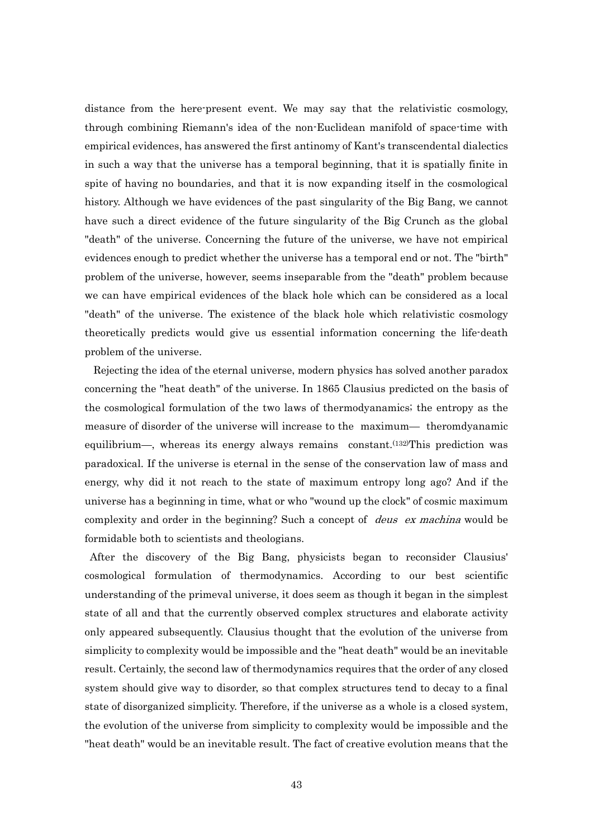distance from the here-present event. We may say that the relativistic cosmology, through combining Riemann's idea of the non-Euclidean manifold of space-time with empirical evidences, has answered the first antinomy of Kant's transcendental dialectics in such a way that the universe has a temporal beginning, that it is spatially finite in spite of having no boundaries, and that it is now expanding itself in the cosmological history. Although we have evidences of the past singularity of the Big Bang, we cannot have such a direct evidence of the future singularity of the Big Crunch as the global "death" of the universe. Concerning the future of the universe, we have not empirical evidences enough to predict whether the universe has a temporal end or not. The "birth" problem of the universe, however, seems inseparable from the "death" problem because we can have empirical evidences of the black hole which can be considered as a local "death" of the universe. The existence of the black hole which relativistic cosmology theoretically predicts would give us essential information concerning the life-death problem of the universe.

 Rejecting the idea of the eternal universe, modern physics has solved another paradox concerning the "heat death" of the universe. In 1865 Clausius predicted on the basis of the cosmological formulation of the two laws of thermodyanamics; the entropy as the measure of disorder of the universe will increase to the maximum— theromdyanamic equilibrium—, whereas its energy always remains constant.<sup> $(132)$ </sup>This prediction was paradoxical. If the universe is eternal in the sense of the conservation law of mass and energy, why did it not reach to the state of maximum entropy long ago? And if the universe has a beginning in time, what or who "wound up the clock" of cosmic maximum complexity and order in the beginning? Such a concept of *deus ex machina* would be formidable both to scientists and theologians.

 After the discovery of the Big Bang, physicists began to reconsider Clausius' cosmological formulation of thermodynamics. According to our best scientific understanding of the primeval universe, it does seem as though it began in the simplest state of all and that the currently observed complex structures and elaborate activity only appeared subsequently. Clausius thought that the evolution of the universe from simplicity to complexity would be impossible and the "heat death" would be an inevitable result. Certainly, the second law of thermodynamics requires that the order of any closed system should give way to disorder, so that complex structures tend to decay to a final state of disorganized simplicity. Therefore, if the universe as a whole is a closed system, the evolution of the universe from simplicity to complexity would be impossible and the "heat death" would be an inevitable result. The fact of creative evolution means that the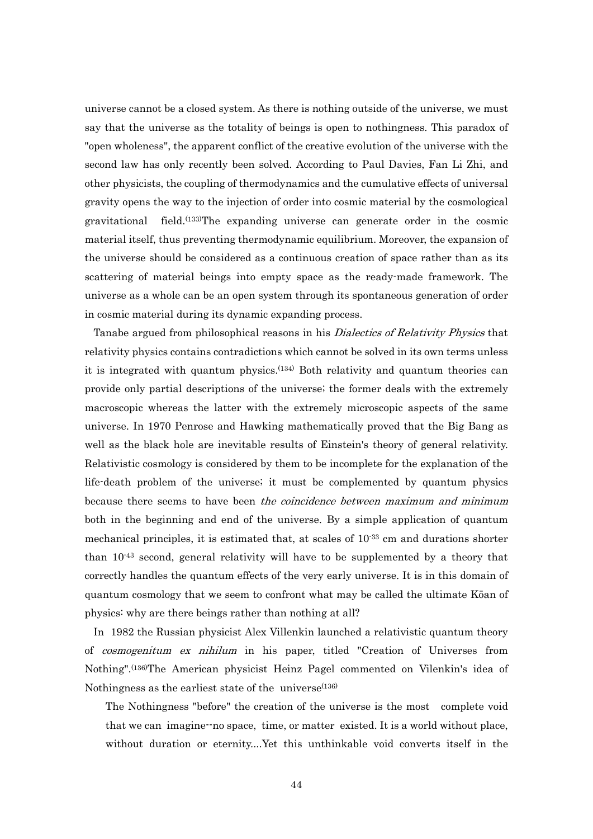universe cannot be a closed system. As there is nothing outside of the universe, we must say that the universe as the totality of beings is open to nothingness. This paradox of "open wholeness", the apparent conflict of the creative evolution of the universe with the second law has only recently been solved. According to Paul Davies, Fan Li Zhi, and other physicists, the coupling of thermodynamics and the cumulative effects of universal gravity opens the way to the injection of order into cosmic material by the cosmological gravitational field.(133)The expanding universe can generate order in the cosmic material itself, thus preventing thermodynamic equilibrium. Moreover, the expansion of the universe should be considered as a continuous creation of space rather than as its scattering of material beings into empty space as the ready-made framework. The universe as a whole can be an open system through its spontaneous generation of order in cosmic material during its dynamic expanding process.

Tanabe argued from philosophical reasons in his *Dialectics of Relativity Physics* that relativity physics contains contradictions which cannot be solved in its own terms unless it is integrated with quantum physics.(134) Both relativity and quantum theories can provide only partial descriptions of the universe; the former deals with the extremely macroscopic whereas the latter with the extremely microscopic aspects of the same universe. In 1970 Penrose and Hawking mathematically proved that the Big Bang as well as the black hole are inevitable results of Einstein's theory of general relativity. Relativistic cosmology is considered by them to be incomplete for the explanation of the life-death problem of the universe; it must be complemented by quantum physics because there seems to have been the coincidence between maximum and minimum both in the beginning and end of the universe. By a simple application of quantum mechanical principles, it is estimated that, at scales of  $10^{-33}$  cm and durations shorter than  $10^{-43}$  second, general relativity will have to be supplemented by a theory that correctly handles the quantum effects of the very early universe. It is in this domain of quantum cosmology that we seem to confront what may be called the ultimate Kōan of physics: why are there beings rather than nothing at all?

 In 1982 the Russian physicist Alex Villenkin launched a relativistic quantum theory of cosmogenitum ex nihilum in his paper, titled "Creation of Universes from Nothing".(136)The American physicist Heinz Pagel commented on Vilenkin's idea of Nothingness as the earliest state of the universe  $(136)$ 

The Nothingness "before" the creation of the universe is the most complete void that we can imagine--no space, time, or matter existed. It is a world without place, without duration or eternity....Yet this unthinkable void converts itself in the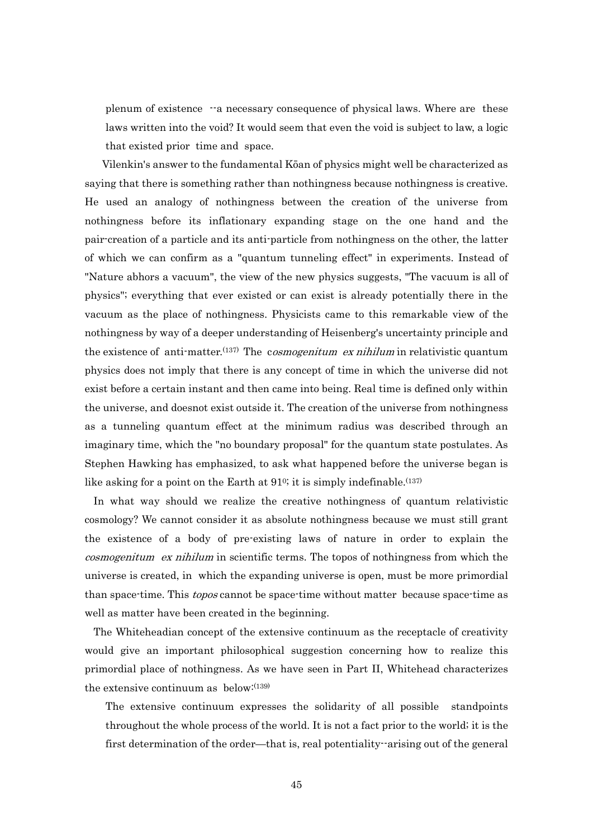plenum of existence --a necessary consequence of physical laws. Where are these laws written into the void? It would seem that even the void is subject to law, a logic that existed prior time and space.

 Vilenkin's answer to the fundamental Kōan of physics might well be characterized as saying that there is something rather than nothingness because nothingness is creative. He used an analogy of nothingness between the creation of the universe from nothingness before its inflationary expanding stage on the one hand and the pair-creation of a particle and its anti-particle from nothingness on the other, the latter of which we can confirm as a "quantum tunneling effect" in experiments. Instead of "Nature abhors a vacuum", the view of the new physics suggests, "The vacuum is all of physics"; everything that ever existed or can exist is already potentially there in the vacuum as the place of nothingness. Physicists came to this remarkable view of the nothingness by way of a deeper understanding of Heisenberg's uncertainty principle and the existence of anti-matter.<sup>(137)</sup> The *cosmogenitum ex nihilum* in relativistic quantum physics does not imply that there is any concept of time in which the universe did not exist before a certain instant and then came into being. Real time is defined only within the universe, and doesnot exist outside it. The creation of the universe from nothingness as a tunneling quantum effect at the minimum radius was described through an imaginary time, which the "no boundary proposal" for the quantum state postulates. As Stephen Hawking has emphasized, to ask what happened before the universe began is like asking for a point on the Earth at 91°; it is simply indefinable.<sup>(137)</sup>

 In what way should we realize the creative nothingness of quantum relativistic cosmology? We cannot consider it as absolute nothingness because we must still grant the existence of a body of pre-existing laws of nature in order to explain the cosmogenitum ex nihilum in scientific terms. The topos of nothingness from which the universe is created, in which the expanding universe is open, must be more primordial than space-time. This *topos* cannot be space-time without matter because space-time as well as matter have been created in the beginning.

 The Whiteheadian concept of the extensive continuum as the receptacle of creativity would give an important philosophical suggestion concerning how to realize this primordial place of nothingness. As we have seen in Part II, Whitehead characterizes the extensive continuum as below:(139)

The extensive continuum expresses the solidarity of all possible standpoints throughout the whole process of the world. It is not a fact prior to the world; it is the first determination of the order—that is, real potentiality--arising out of the general